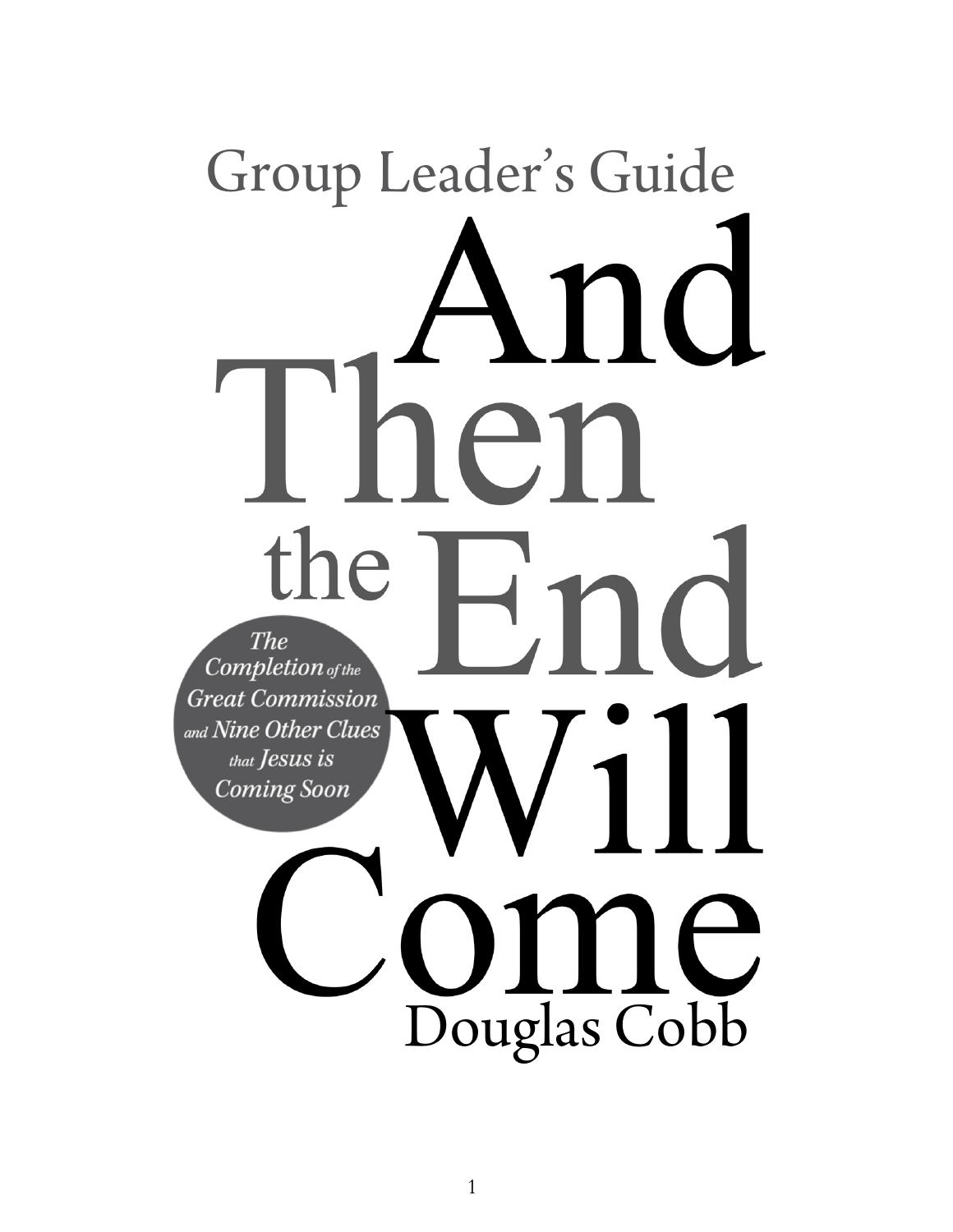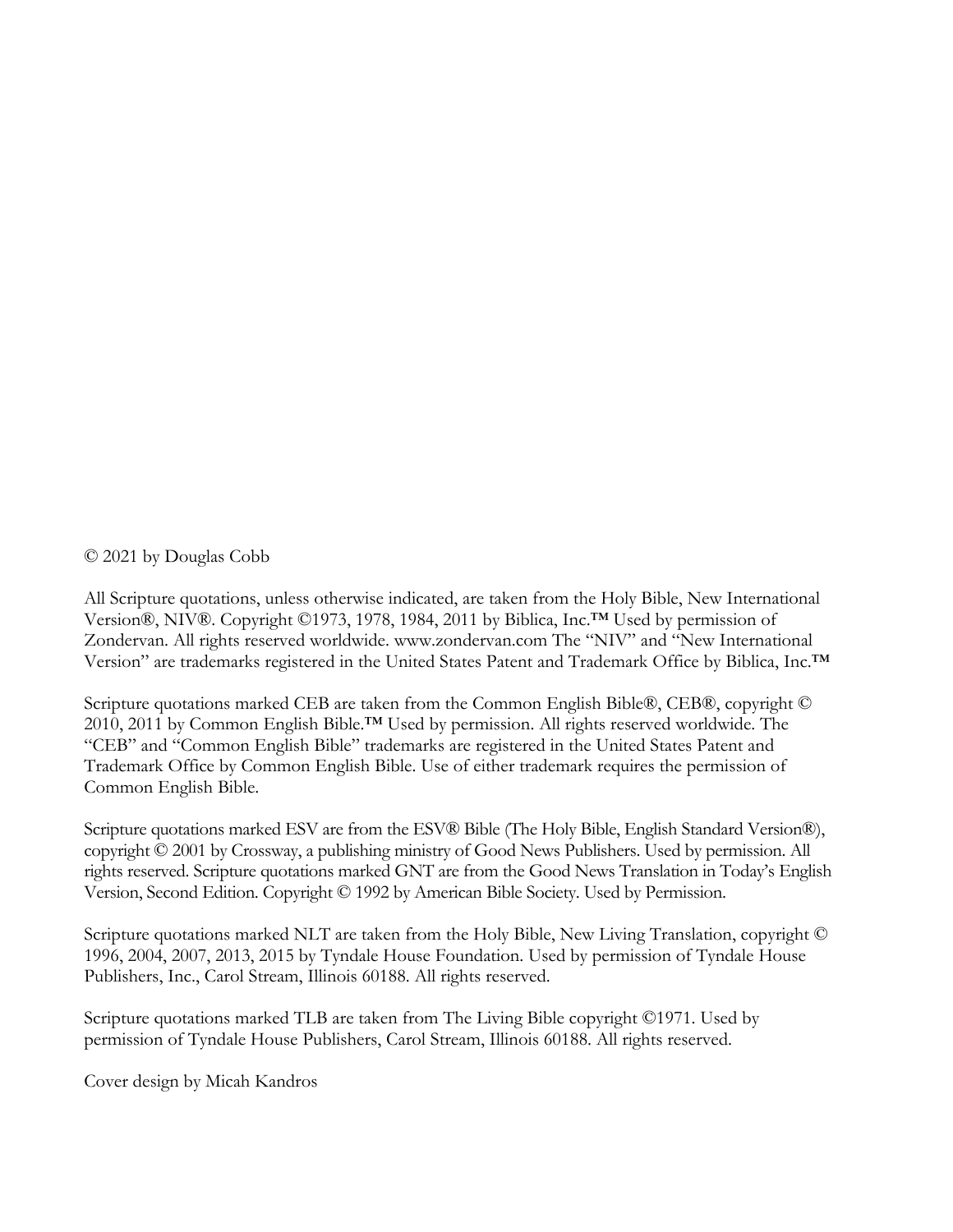#### © 2021 by Douglas Cobb

All Scripture quotations, unless otherwise indicated, are taken from the Holy Bible, New International Version®, NIV®. Copyright ©1973, 1978, 1984, 2011 by Biblica, Inc.™ Used by permission of Zondervan. All rights reserved worldwide. www.zondervan.com The "NIV" and "New International Version" are trademarks registered in the United States Patent and Trademark Office by Biblica, Inc.™

Scripture quotations marked CEB are taken from the Common English Bible®, CEB®, copyright © 2010, 2011 by Common English Bible.™ Used by permission. All rights reserved worldwide. The "CEB" and "Common English Bible" trademarks are registered in the United States Patent and Trademark Office by Common English Bible. Use of either trademark requires the permission of Common English Bible.

Scripture quotations marked ESV are from the ESV® Bible (The Holy Bible, English Standard Version®), copyright © 2001 by Crossway, a publishing ministry of Good News Publishers. Used by permission. All rights reserved. Scripture quotations marked GNT are from the Good News Translation in Today's English Version, Second Edition. Copyright © 1992 by American Bible Society. Used by Permission.

Scripture quotations marked NLT are taken from the Holy Bible, New Living Translation, copyright © 1996, 2004, 2007, 2013, 2015 by Tyndale House Foundation. Used by permission of Tyndale House Publishers, Inc., Carol Stream, Illinois 60188. All rights reserved.

Scripture quotations marked TLB are taken from The Living Bible copyright ©1971. Used by permission of Tyndale House Publishers, Carol Stream, Illinois 60188. All rights reserved.

Cover design by Micah Kandros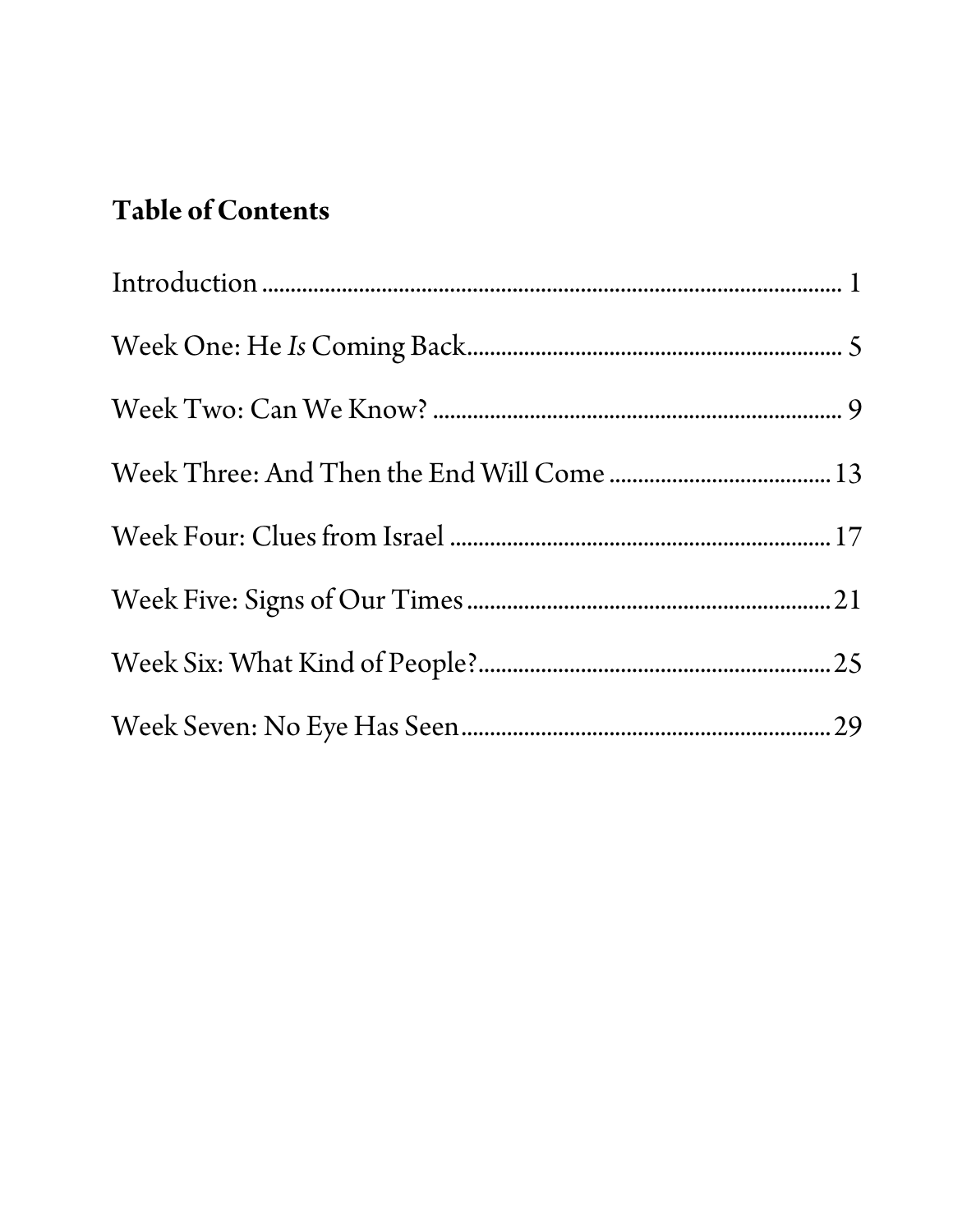# **Table of Contents**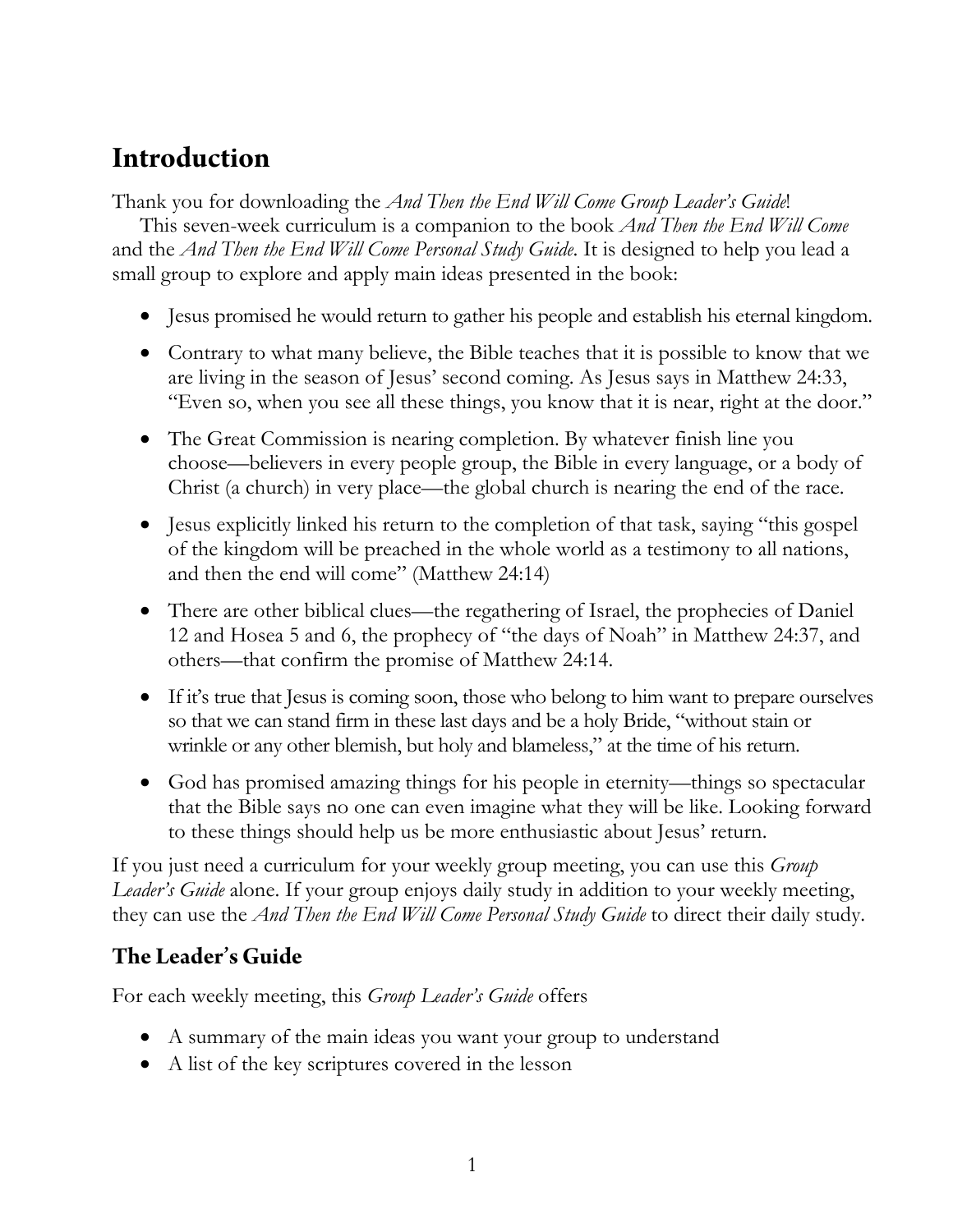# **Introduction**

Thank you for downloading the *And Then the End Will Come Group Leader's Guide*!

This seven-week curriculum is a companion to the book *And Then the End Will Come* and the *And Then the End Will Come Personal Study Guide*. It is designed to help you lead a small group to explore and apply main ideas presented in the book:

- Jesus promised he would return to gather his people and establish his eternal kingdom.
- Contrary to what many believe, the Bible teaches that it is possible to know that we are living in the season of Jesus' second coming. As Jesus says in Matthew 24:33, "Even so, when you see all these things, you know that it is near, right at the door."
- The Great Commission is nearing completion. By whatever finish line you choose—believers in every people group, the Bible in every language, or a body of Christ (a church) in very place—the global church is nearing the end of the race.
- Jesus explicitly linked his return to the completion of that task, saying "this gospel" of the kingdom will be preached in the whole world as a testimony to all nations, and then the end will come" (Matthew 24:14)
- There are other biblical clues—the regathering of Israel, the prophecies of Daniel 12 and Hosea 5 and 6, the prophecy of "the days of Noah" in Matthew 24:37, and others—that confirm the promise of Matthew 24:14.
- If it's true that Jesus is coming soon, those who belong to him want to prepare ourselves so that we can stand firm in these last days and be a holy Bride, "without stain or wrinkle or any other blemish, but holy and blameless," at the time of his return.
- God has promised amazing things for his people in eternity—things so spectacular that the Bible says no one can even imagine what they will be like. Looking forward to these things should help us be more enthusiastic about Jesus' return.

If you just need a curriculum for your weekly group meeting, you can use this *Group Leader's Guide* alone. If your group enjoys daily study in addition to your weekly meeting, they can use the *And Then the End Will Come Personal Study Guide* to direct their daily study.

## **The Leader's Guide**

For each weekly meeting, this *Group Leader's Guide* offers

- A summary of the main ideas you want your group to understand
- A list of the key scriptures covered in the lesson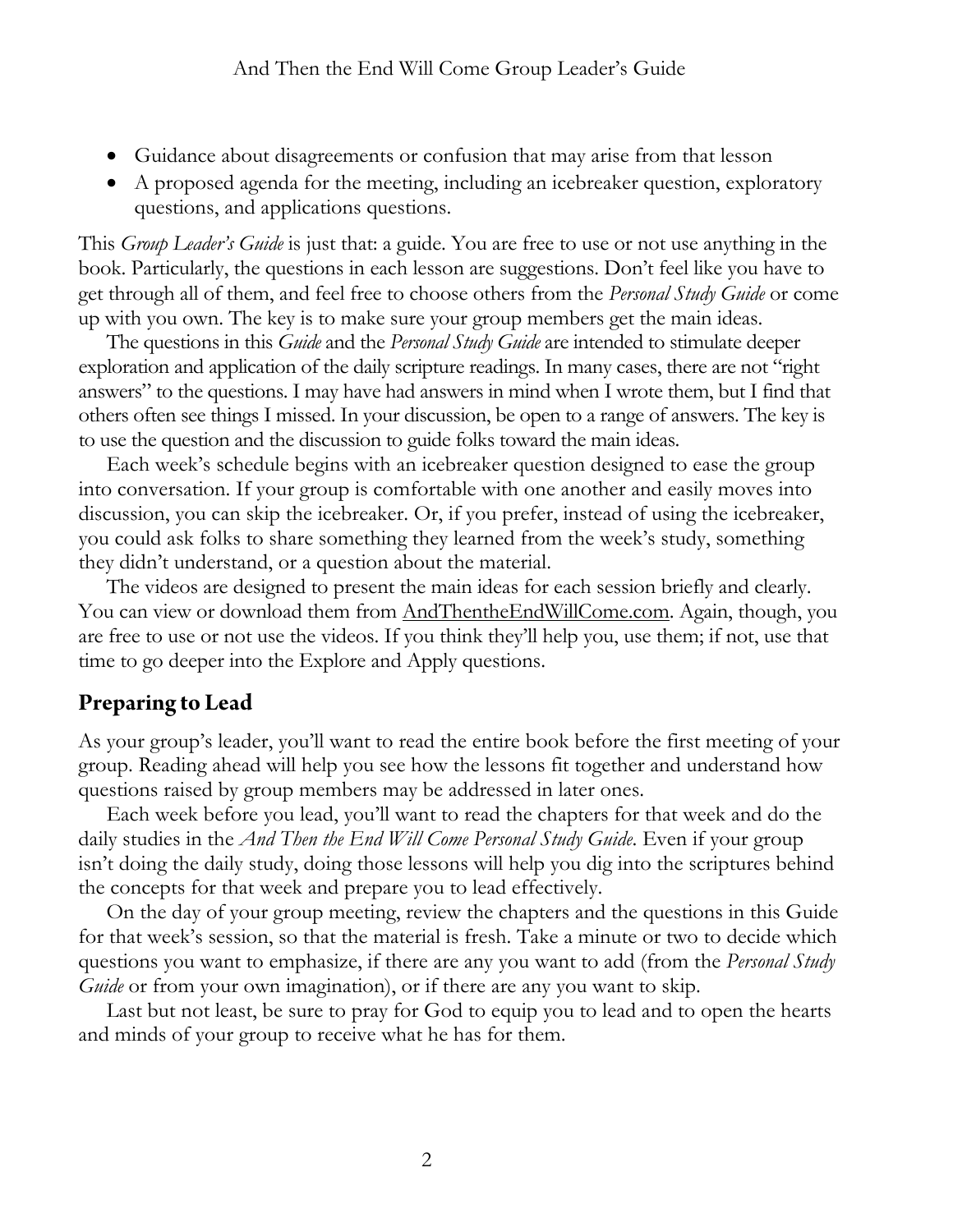- Guidance about disagreements or confusion that may arise from that lesson
- A proposed agenda for the meeting, including an icebreaker question, exploratory questions, and applications questions.

This *Group Leader's Guide* is just that: a guide. You are free to use or not use anything in the book. Particularly, the questions in each lesson are suggestions. Don't feel like you have to get through all of them, and feel free to choose others from the *Personal Study Guide* or come up with you own. The key is to make sure your group members get the main ideas.

The questions in this *Guide* and the *Personal Study Guide* are intended to stimulate deeper exploration and application of the daily scripture readings. In many cases, there are not "right answers" to the questions. I may have had answers in mind when I wrote them, but I find that others often see things I missed. In your discussion, be open to a range of answers. The key is to use the question and the discussion to guide folks toward the main ideas.

Each week's schedule begins with an icebreaker question designed to ease the group into conversation. If your group is comfortable with one another and easily moves into discussion, you can skip the icebreaker. Or, if you prefer, instead of using the icebreaker, you could ask folks to share something they learned from the week's study, something they didn't understand, or a question about the material.

The videos are designed to present the main ideas for each session briefly and clearly. You can view or download them from AndThentheEndWillCome.com. Again, though, you are free to use or not use the videos. If you think they'll help you, use them; if not, use that time to go deeper into the Explore and Apply questions.

#### **Preparing to Lead**

As your group's leader, you'll want to read the entire book before the first meeting of your group. Reading ahead will help you see how the lessons fit together and understand how questions raised by group members may be addressed in later ones.

Each week before you lead, you'll want to read the chapters for that week and do the daily studies in the *And Then the End Will Come Personal Study Guide*. Even if your group isn't doing the daily study, doing those lessons will help you dig into the scriptures behind the concepts for that week and prepare you to lead effectively.

On the day of your group meeting, review the chapters and the questions in this Guide for that week's session, so that the material is fresh. Take a minute or two to decide which questions you want to emphasize, if there are any you want to add (from the *Personal Study Guide* or from your own imagination), or if there are any you want to skip.

Last but not least, be sure to pray for God to equip you to lead and to open the hearts and minds of your group to receive what he has for them.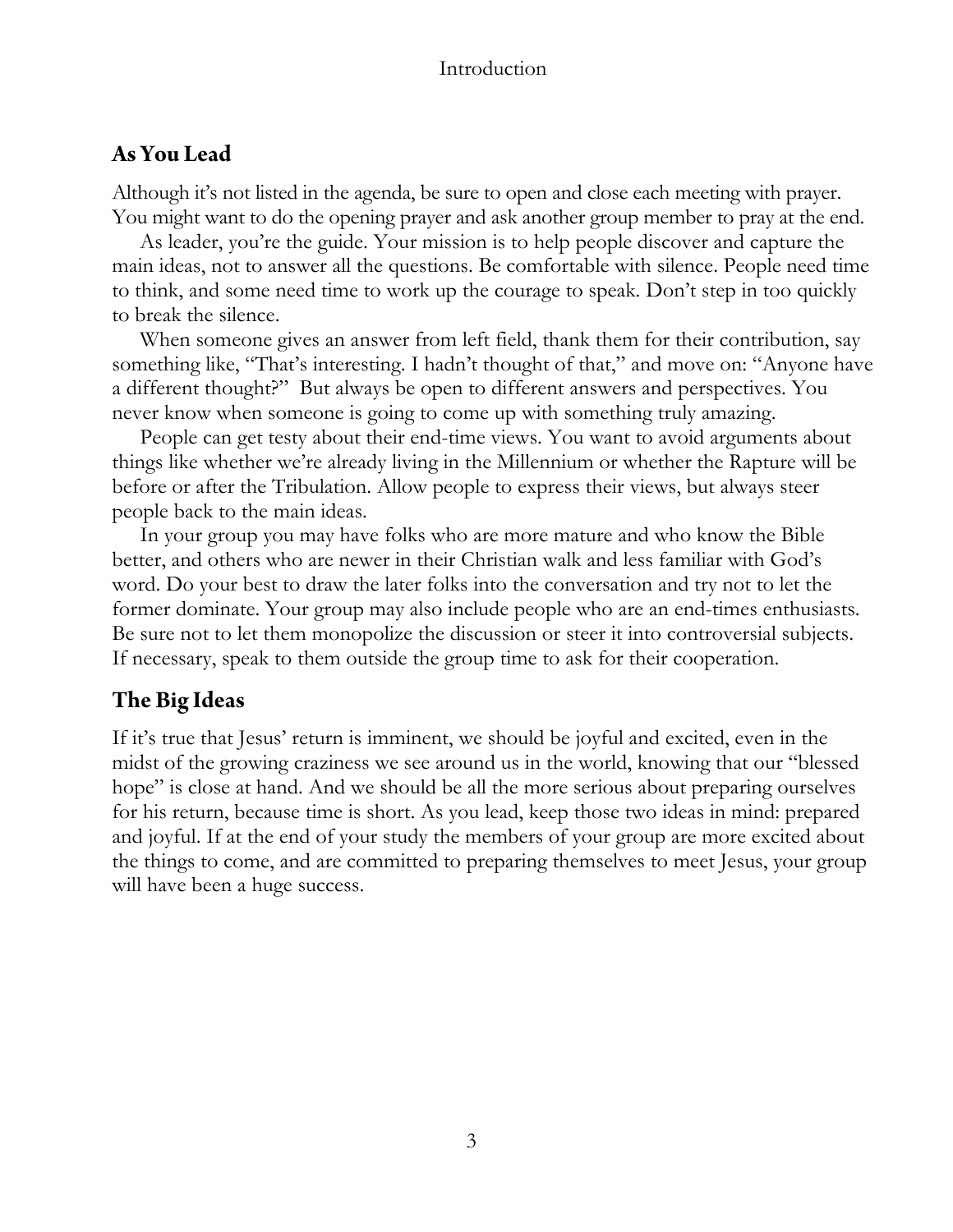#### Introduction

#### **As You Lead**

Although it's not listed in the agenda, be sure to open and close each meeting with prayer. You might want to do the opening prayer and ask another group member to pray at the end.

As leader, you're the guide. Your mission is to help people discover and capture the main ideas, not to answer all the questions. Be comfortable with silence. People need time to think, and some need time to work up the courage to speak. Don't step in too quickly to break the silence.

When someone gives an answer from left field, thank them for their contribution, say something like, "That's interesting. I hadn't thought of that," and move on: "Anyone have a different thought?" But always be open to different answers and perspectives. You never know when someone is going to come up with something truly amazing.

People can get testy about their end-time views. You want to avoid arguments about things like whether we're already living in the Millennium or whether the Rapture will be before or after the Tribulation. Allow people to express their views, but always steer people back to the main ideas.

In your group you may have folks who are more mature and who know the Bible better, and others who are newer in their Christian walk and less familiar with God's word. Do your best to draw the later folks into the conversation and try not to let the former dominate. Your group may also include people who are an end-times enthusiasts. Be sure not to let them monopolize the discussion or steer it into controversial subjects. If necessary, speak to them outside the group time to ask for their cooperation.

#### **The Big Ideas**

If it's true that Jesus' return is imminent, we should be joyful and excited, even in the midst of the growing craziness we see around us in the world, knowing that our "blessed hope" is close at hand. And we should be all the more serious about preparing ourselves for his return, because time is short. As you lead, keep those two ideas in mind: prepared and joyful. If at the end of your study the members of your group are more excited about the things to come, and are committed to preparing themselves to meet Jesus, your group will have been a huge success.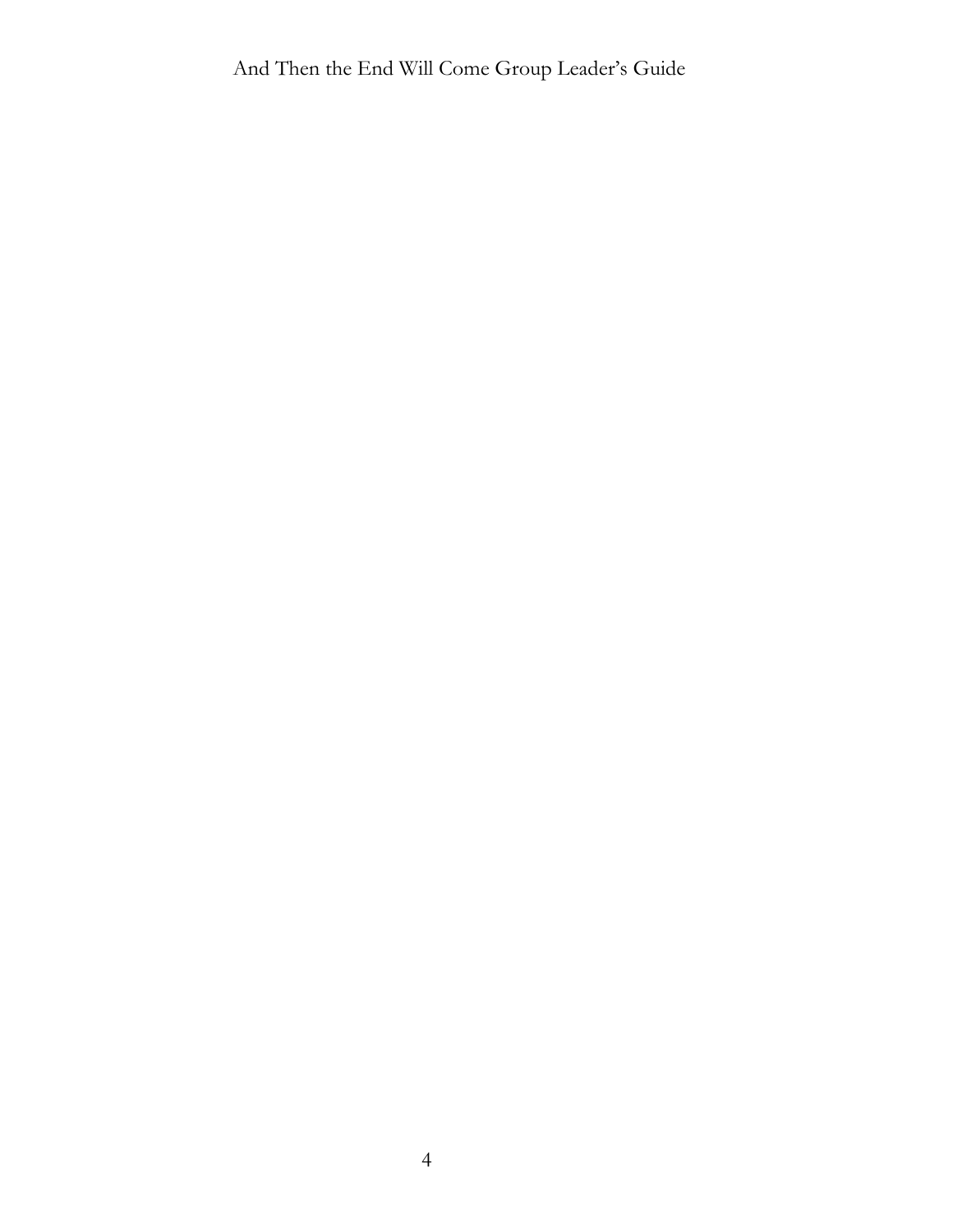And Then the End Will Come Group Leader's Guide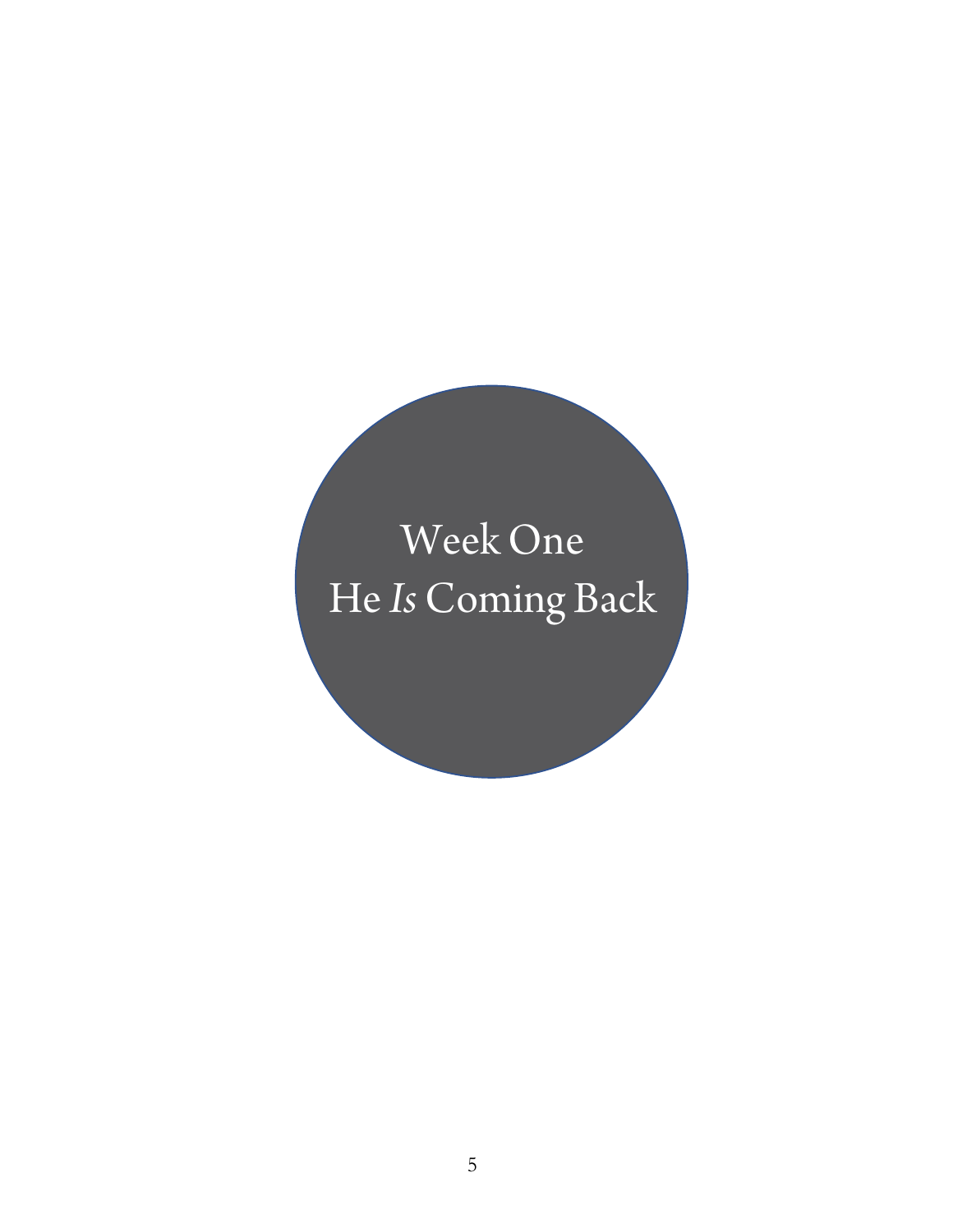# Week One He *Is* Coming Back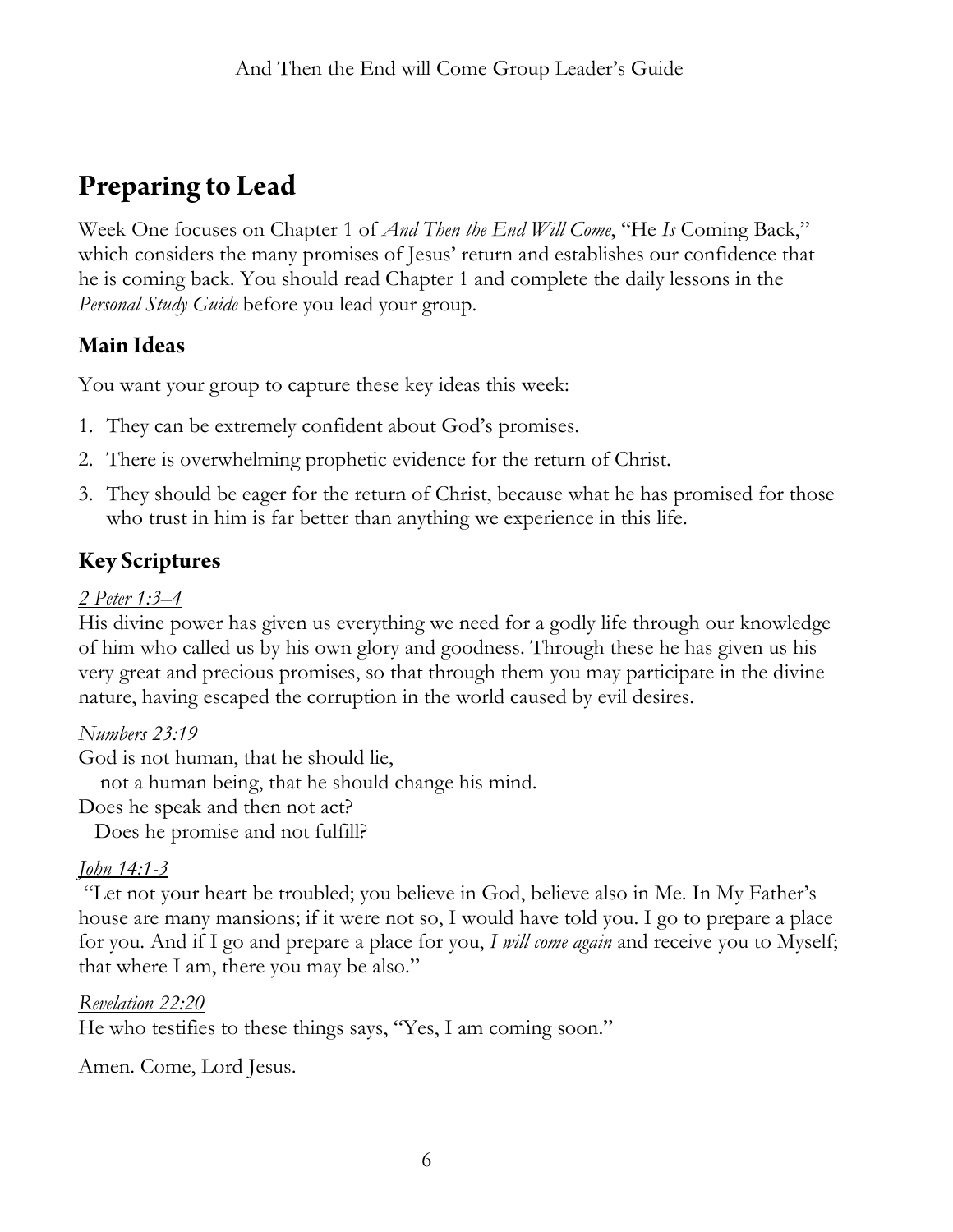Week One focuses on Chapter 1 of *And Then the End Will Come*, "He *Is* Coming Back," which considers the many promises of Jesus' return and establishes our confidence that he is coming back. You should read Chapter 1 and complete the daily lessons in the *Personal Study Guide* before you lead your group.

## **Main Ideas**

You want your group to capture these key ideas this week:

- 1. They can be extremely confident about God's promises.
- 2. There is overwhelming prophetic evidence for the return of Christ.
- 3. They should be eager for the return of Christ, because what he has promised for those who trust in him is far better than anything we experience in this life.

## **Key Scriptures**

#### *2 Peter 1:3–4*

His divine power has given us everything we need for a godly life through our knowledge of him who called us by his own glory and goodness. Through these he has given us his very great and precious promises, so that through them you may participate in the divine nature, having escaped the corruption in the world caused by evil desires.

#### *Numbers 23:19*

God is not human, that he should lie,

not a human being, that he should change his mind.

Does he speak and then not act?

Does he promise and not fulfill?

#### *John 14:1-3*

"Let not your heart be troubled; you believe in God, believe also in Me. In My Father's house are many mansions; if it were not so, I would have told you. I go to prepare a place for you. And if I go and prepare a place for you, *I will come again* and receive you to Myself; that where I am, there you may be also."

#### *Revelation 22:20*

He who testifies to these things says, "Yes, I am coming soon."

Amen. Come, Lord Jesus.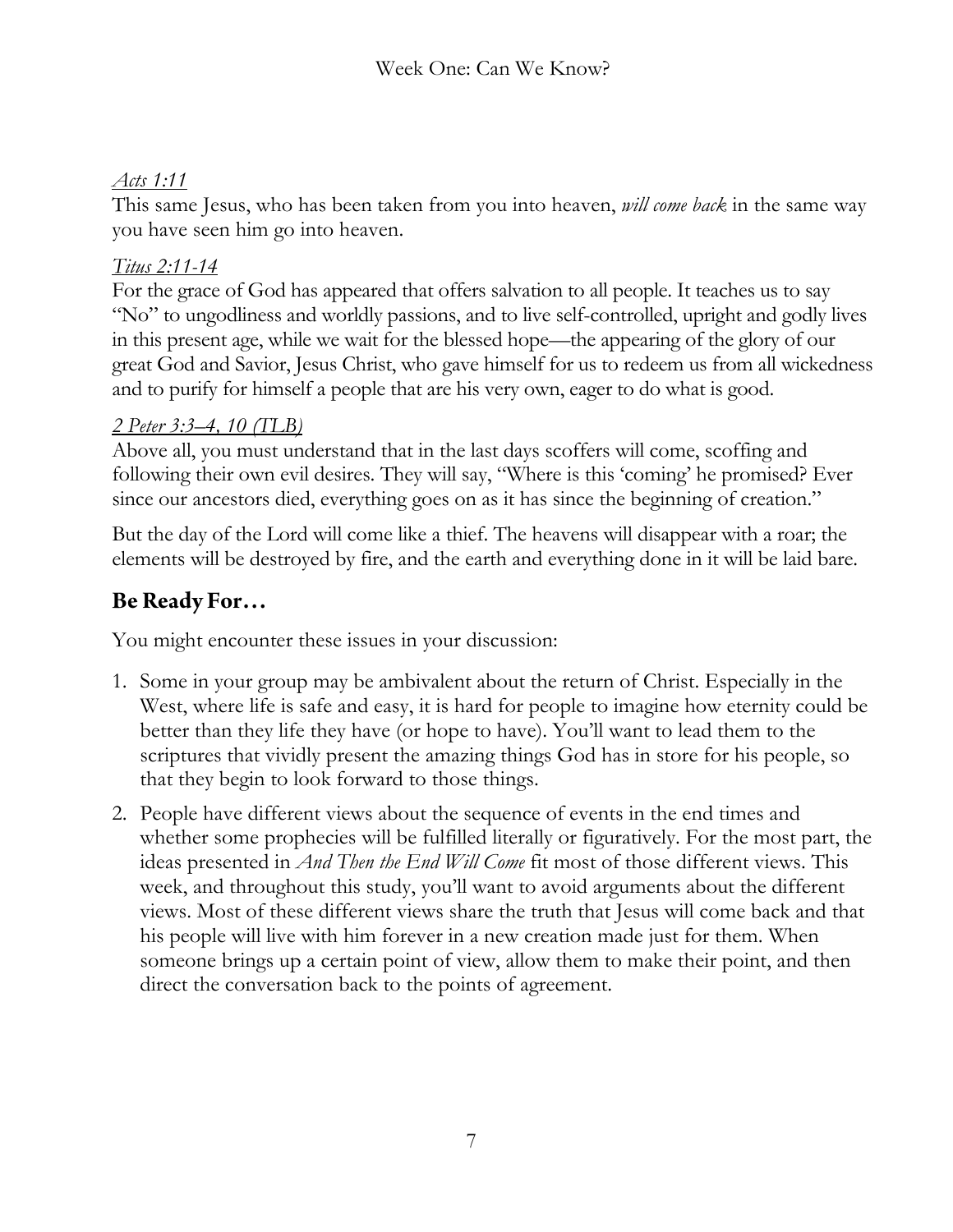#### *Acts 1:11*

This same Jesus, who has been taken from you into heaven, *will come back* in the same way you have seen him go into heaven.

#### *Titus 2:11-14*

For the grace of God has appeared that offers salvation to all people. It teaches us to say "No" to ungodliness and worldly passions, and to live self-controlled, upright and godly lives in this present age, while we wait for the blessed hope—the appearing of the glory of our great God and Savior, Jesus Christ, who gave himself for us to redeem us from all wickedness and to purify for himself a people that are his very own, eager to do what is good.

#### *2 Peter 3:3–4, 10 (TLB)*

Above all, you must understand that in the last days scoffers will come, scoffing and following their own evil desires. They will say, "Where is this 'coming' he promised? Ever since our ancestors died, everything goes on as it has since the beginning of creation."

But the day of the Lord will come like a thief. The heavens will disappear with a roar; the elements will be destroyed by fire, and the earth and everything done in it will be laid bare.

#### **Be Ready For…**

You might encounter these issues in your discussion:

- 1. Some in your group may be ambivalent about the return of Christ. Especially in the West, where life is safe and easy, it is hard for people to imagine how eternity could be better than they life they have (or hope to have). You'll want to lead them to the scriptures that vividly present the amazing things God has in store for his people, so that they begin to look forward to those things.
- 2. People have different views about the sequence of events in the end times and whether some prophecies will be fulfilled literally or figuratively. For the most part, the ideas presented in *And Then the End Will Come* fit most of those different views. This week, and throughout this study, you'll want to avoid arguments about the different views. Most of these different views share the truth that Jesus will come back and that his people will live with him forever in a new creation made just for them. When someone brings up a certain point of view, allow them to make their point, and then direct the conversation back to the points of agreement.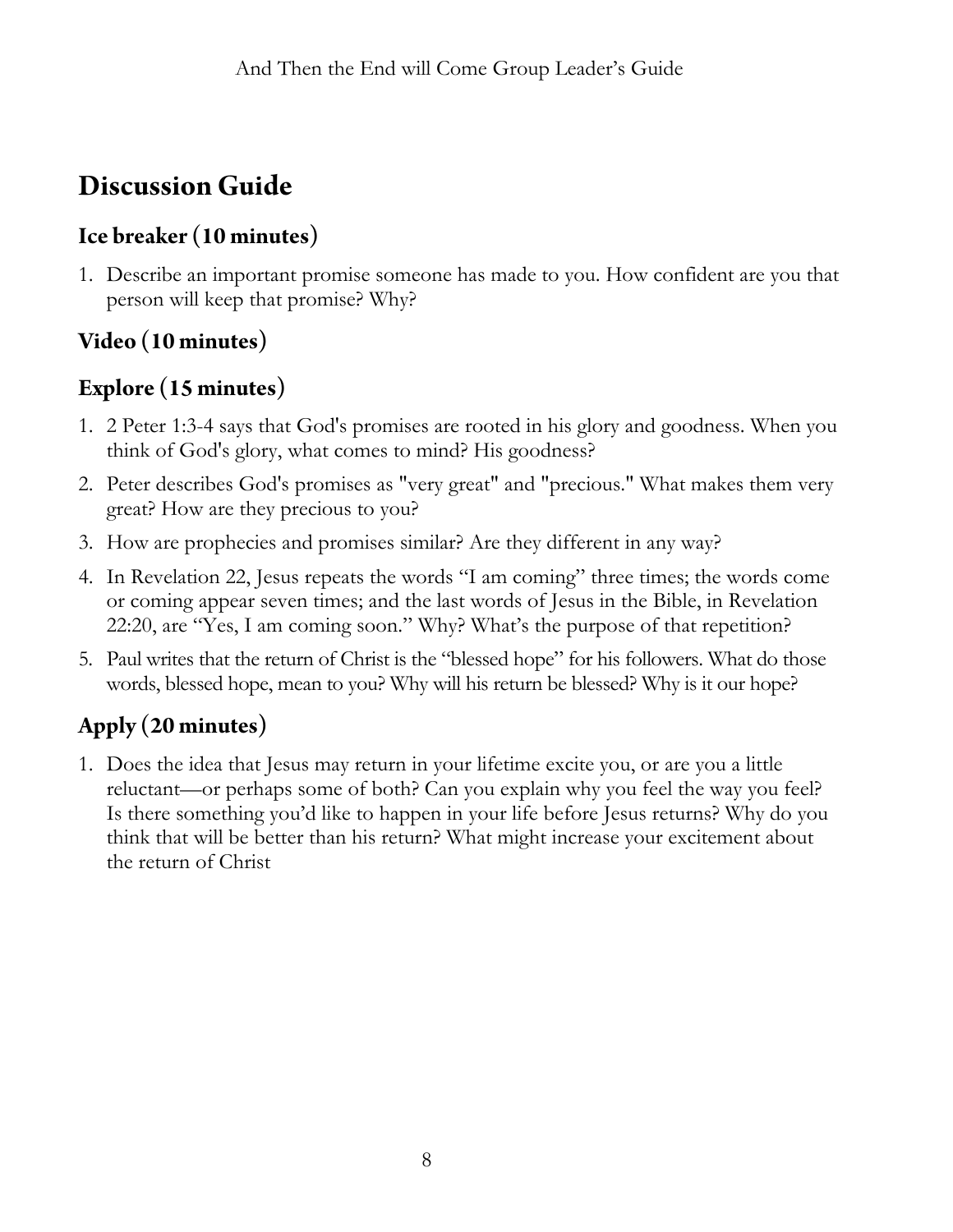### **Ice breaker(10 minutes)**

1. Describe an important promise someone has made to you. How confident are you that person will keep that promise? Why?

## **Video (10 minutes)**

## **Explore (15 minutes)**

- 1. 2 Peter 1:3-4 says that God's promises are rooted in his glory and goodness. When you think of God's glory, what comes to mind? His goodness?
- 2. Peter describes God's promises as "very great" and "precious." What makes them very great? How are they precious to you?
- 3. How are prophecies and promises similar? Are they different in any way?
- 4. In Revelation 22, Jesus repeats the words "I am coming" three times; the words come or coming appear seven times; and the last words of Jesus in the Bible, in Revelation 22:20, are "Yes, I am coming soon." Why? What's the purpose of that repetition?
- 5. Paul writes that the return of Christ is the "blessed hope" for his followers. What do those words, blessed hope, mean to you? Why will his return be blessed? Why is it our hope?

## **Apply (20 minutes)**

1. Does the idea that Jesus may return in your lifetime excite you, or are you a little reluctant—or perhaps some of both? Can you explain why you feel the way you feel? Is there something you'd like to happen in your life before Jesus returns? Why do you think that will be better than his return? What might increase your excitement about the return of Christ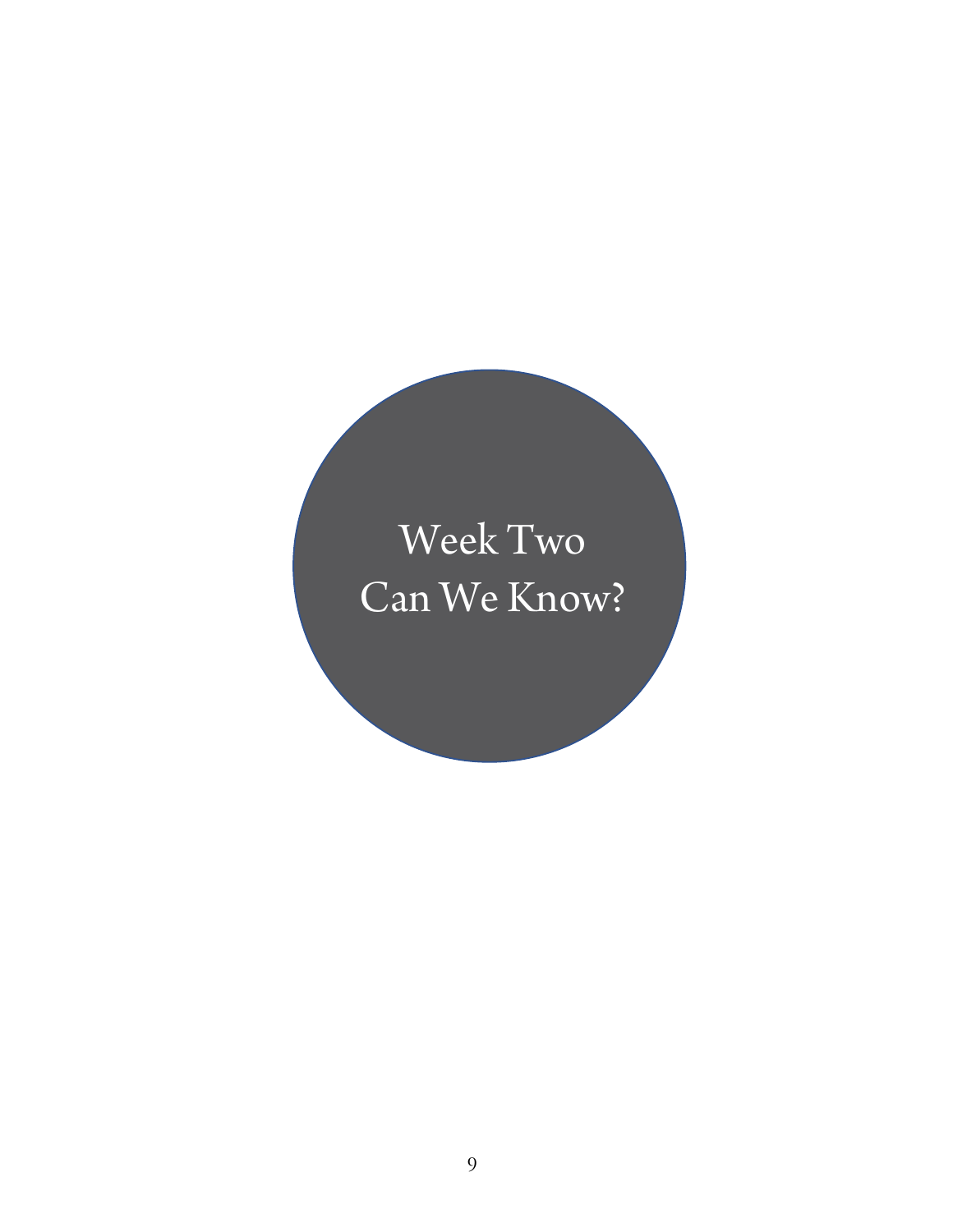# Week Two Can We Know?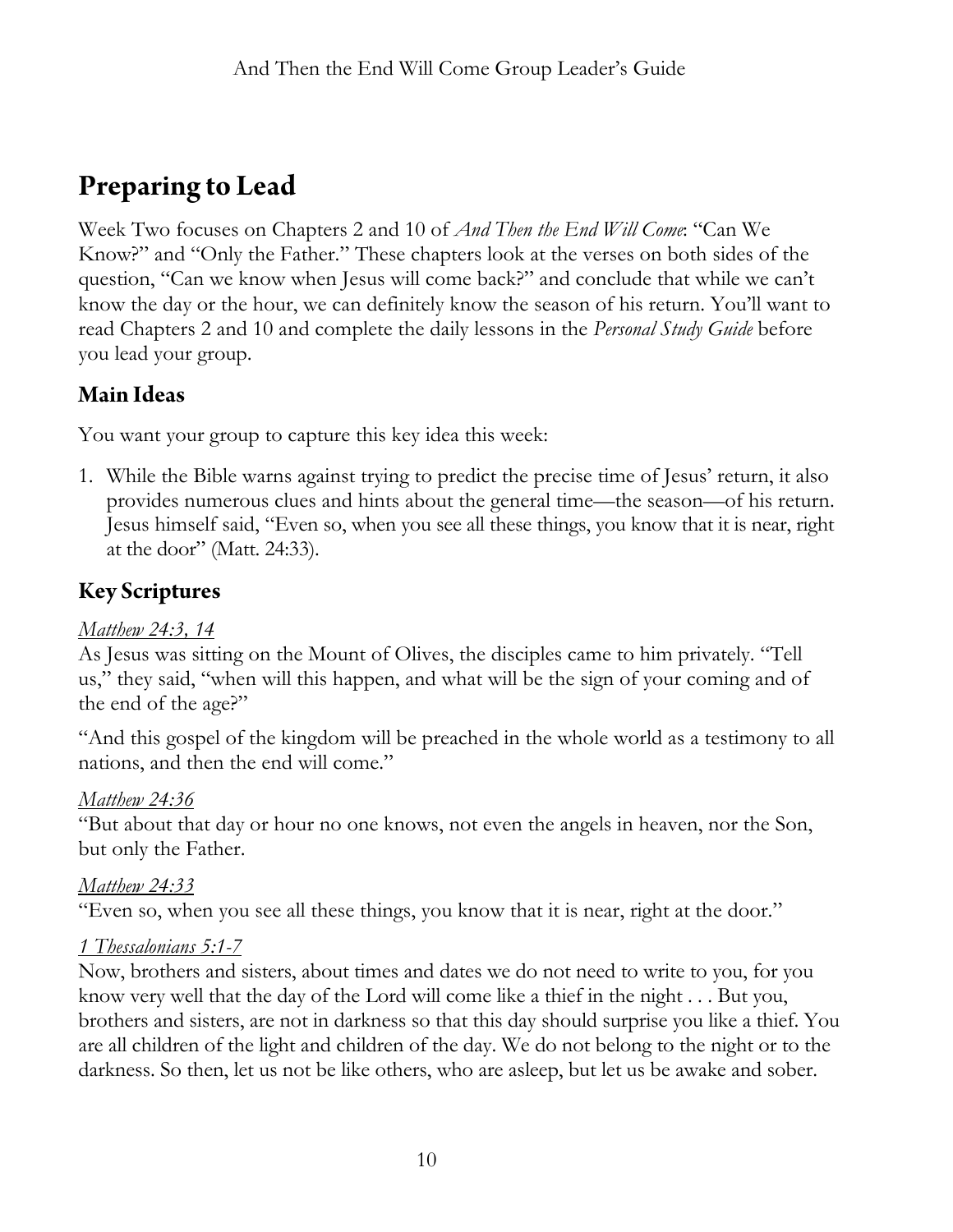Week Two focuses on Chapters 2 and 10 of *And Then the End Will Come*: "Can We Know?" and "Only the Father." These chapters look at the verses on both sides of the question, "Can we know when Jesus will come back?" and conclude that while we can't know the day or the hour, we can definitely know the season of his return. You'll want to read Chapters 2 and 10 and complete the daily lessons in the *Personal Study Guide* before you lead your group.

## **Main Ideas**

You want your group to capture this key idea this week:

1. While the Bible warns against trying to predict the precise time of Jesus' return, it also provides numerous clues and hints about the general time—the season—of his return. Jesus himself said, "Even so, when you see all these things, you know that it is near, right at the door" (Matt. 24:33).

## **Key Scriptures**

#### *Matthew 24:3, 14*

As Jesus was sitting on the Mount of Olives, the disciples came to him privately. "Tell us," they said, "when will this happen, and what will be the sign of your coming and of the end of the age?"

"And this gospel of the kingdom will be preached in the whole world as a testimony to all nations, and then the end will come."

#### *Matthew 24:36*

"But about that day or hour no one knows, not even the angels in heaven, nor the Son, but only the Father.

#### *Matthew 24:33*

"Even so, when you see all these things, you know that it is near, right at the door."

#### *1 Thessalonians 5:1-7*

Now, brothers and sisters, about times and dates we do not need to write to you, for you know very well that the day of the Lord will come like a thief in the night . . . But you, brothers and sisters, are not in darkness so that this day should surprise you like a thief. You are all children of the light and children of the day. We do not belong to the night or to the darkness. So then, let us not be like others, who are asleep, but let us be awake and sober.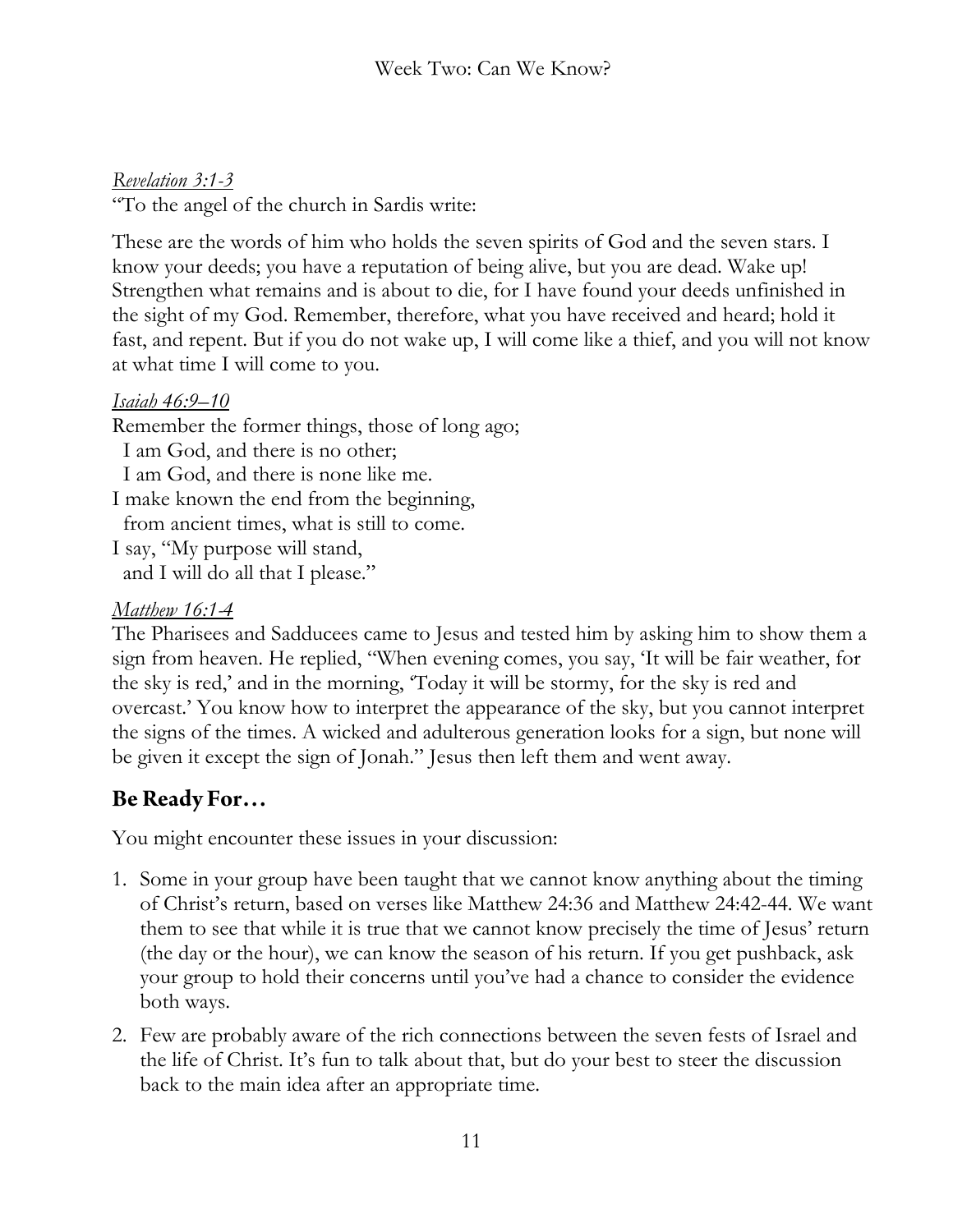#### *Revelation 3:1-3*

"To the angel of the church in Sardis write:

These are the words of him who holds the seven spirits of God and the seven stars. I know your deeds; you have a reputation of being alive, but you are dead. Wake up! Strengthen what remains and is about to die, for I have found your deeds unfinished in the sight of my God. Remember, therefore, what you have received and heard; hold it fast, and repent. But if you do not wake up, I will come like a thief, and you will not know at what time I will come to you.

#### *Isaiah 46:9–10*

Remember the former things, those of long ago; I am God, and there is no other; I am God, and there is none like me. I make known the end from the beginning, from ancient times, what is still to come. I say, "My purpose will stand, and I will do all that I please."

#### *Matthew 16:1-4*

The Pharisees and Sadducees came to Jesus and tested him by asking him to show them a sign from heaven. He replied, "When evening comes, you say, 'It will be fair weather, for the sky is red,' and in the morning, 'Today it will be stormy, for the sky is red and overcast.' You know how to interpret the appearance of the sky, but you cannot interpret the signs of the times. A wicked and adulterous generation looks for a sign, but none will be given it except the sign of Jonah." Jesus then left them and went away.

## **Be Ready For…**

You might encounter these issues in your discussion:

- 1. Some in your group have been taught that we cannot know anything about the timing of Christ's return, based on verses like Matthew 24:36 and Matthew 24:42-44. We want them to see that while it is true that we cannot know precisely the time of Jesus' return (the day or the hour), we can know the season of his return. If you get pushback, ask your group to hold their concerns until you've had a chance to consider the evidence both ways.
- 2. Few are probably aware of the rich connections between the seven fests of Israel and the life of Christ. It's fun to talk about that, but do your best to steer the discussion back to the main idea after an appropriate time.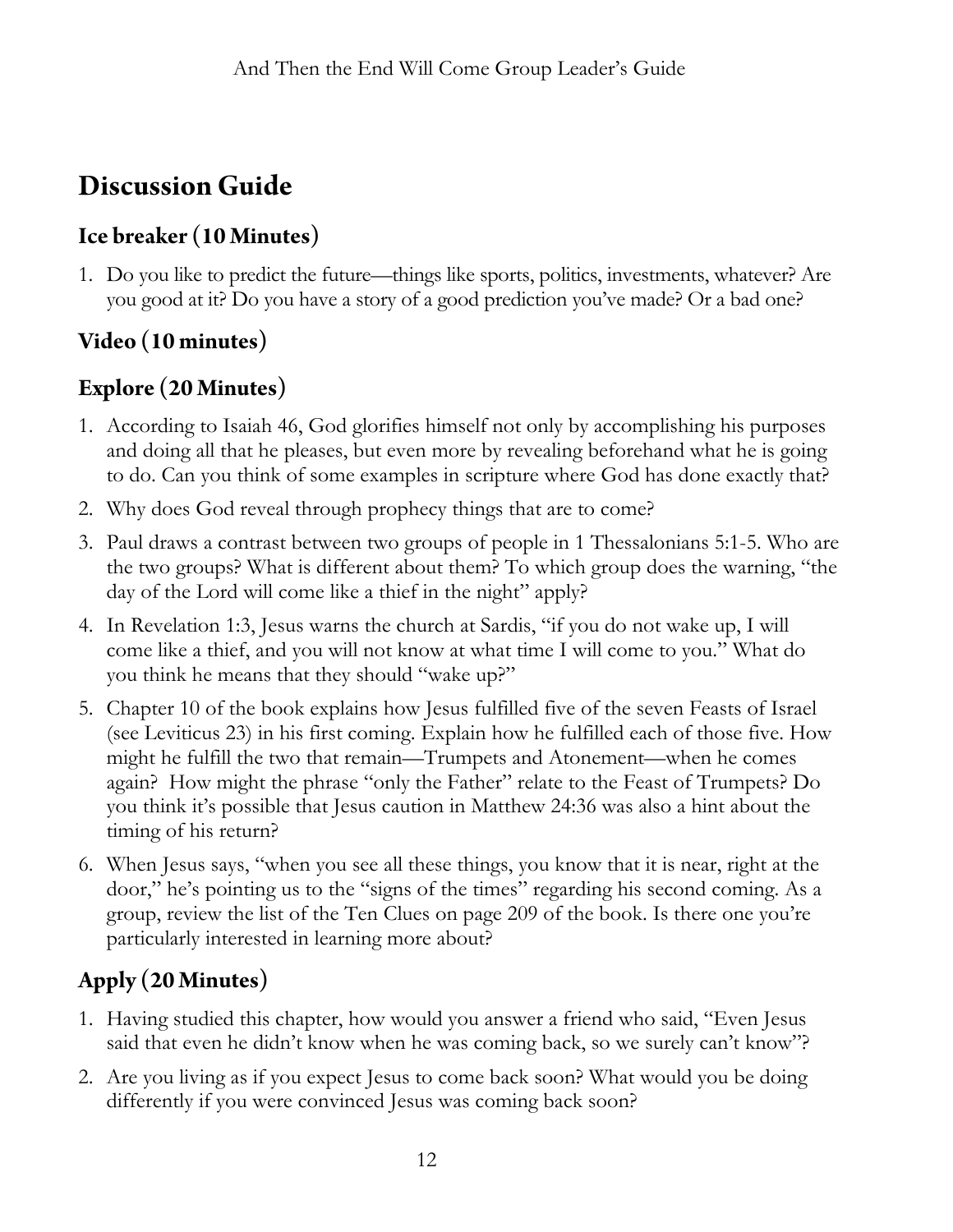## **Ice breaker(10 Minutes)**

1. Do you like to predict the future—things like sports, politics, investments, whatever? Are you good at it? Do you have a story of a good prediction you've made? Or a bad one?

## **Video (10 minutes)**

## **Explore (20 Minutes)**

- 1. According to Isaiah 46, God glorifies himself not only by accomplishing his purposes and doing all that he pleases, but even more by revealing beforehand what he is going to do. Can you think of some examples in scripture where God has done exactly that?
- 2. Why does God reveal through prophecy things that are to come?
- 3. Paul draws a contrast between two groups of people in 1 Thessalonians 5:1-5. Who are the two groups? What is different about them? To which group does the warning, "the day of the Lord will come like a thief in the night" apply?
- 4. In Revelation 1:3, Jesus warns the church at Sardis, "if you do not wake up, I will come like a thief, and you will not know at what time I will come to you." What do you think he means that they should "wake up?"
- 5. Chapter 10 of the book explains how Jesus fulfilled five of the seven Feasts of Israel (see Leviticus 23) in his first coming. Explain how he fulfilled each of those five. How might he fulfill the two that remain—Trumpets and Atonement—when he comes again? How might the phrase "only the Father" relate to the Feast of Trumpets? Do you think it's possible that Jesus caution in Matthew 24:36 was also a hint about the timing of his return?
- 6. When Jesus says, "when you see all these things, you know that it is near, right at the door," he's pointing us to the "signs of the times" regarding his second coming. As a group, review the list of the Ten Clues on page 209 of the book. Is there one you're particularly interested in learning more about?

## **Apply (20 Minutes)**

- 1. Having studied this chapter, how would you answer a friend who said, "Even Jesus said that even he didn't know when he was coming back, so we surely can't know"?
- 2. Are you living as if you expect Jesus to come back soon? What would you be doing differently if you were convinced Jesus was coming back soon?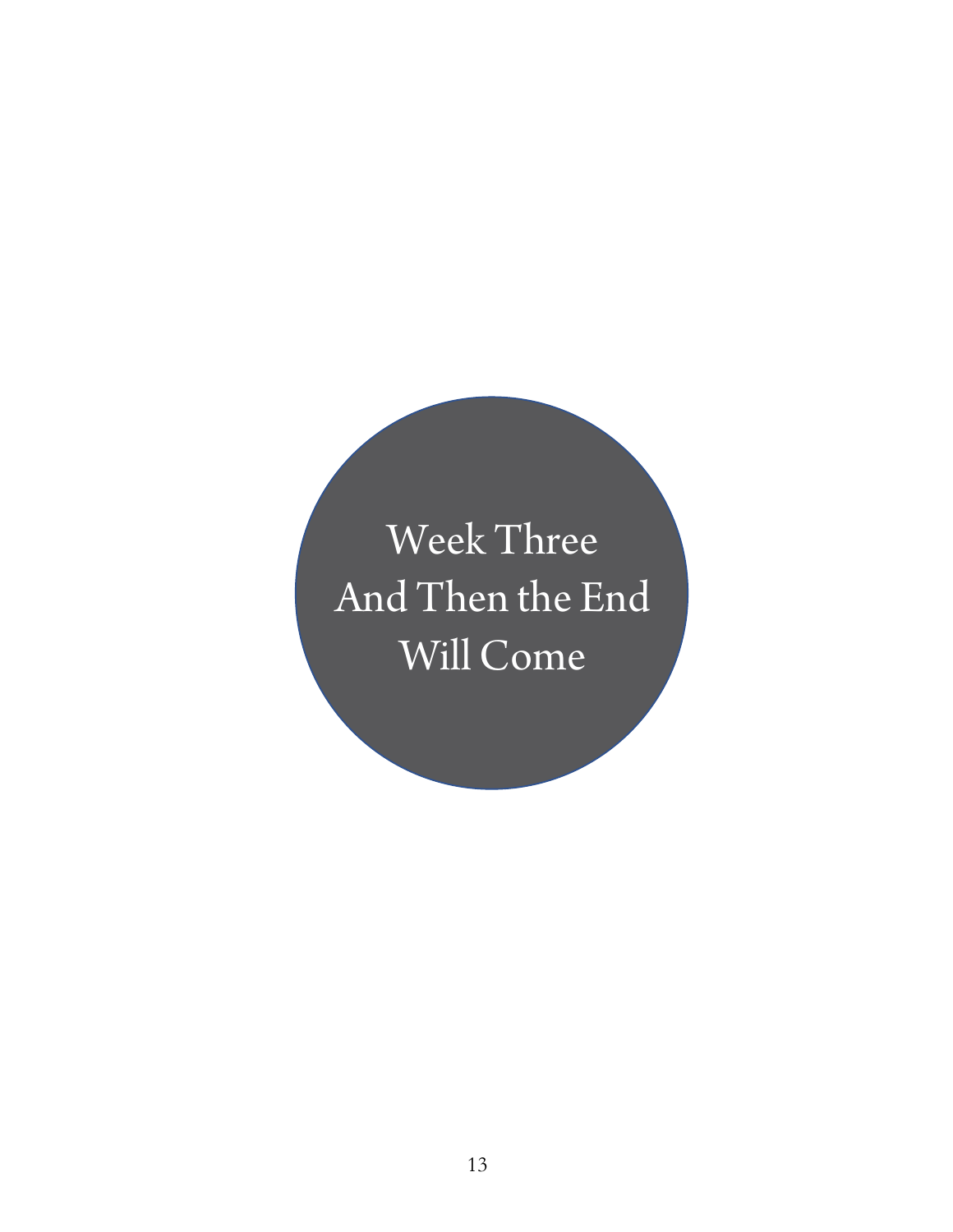Week Three And Then the End Will Come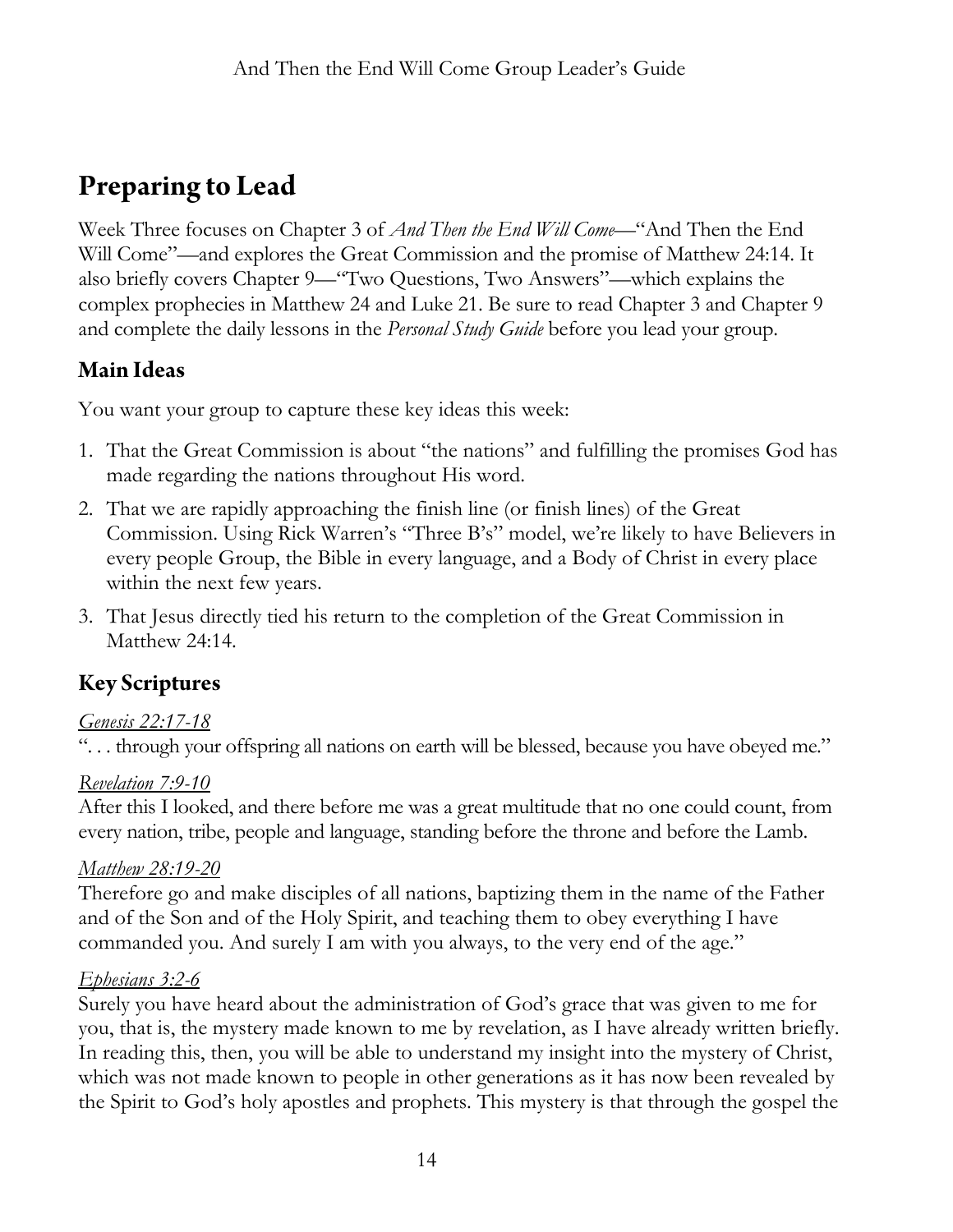Week Three focuses on Chapter 3 of *And Then the End Will Come*—"And Then the End Will Come"—and explores the Great Commission and the promise of Matthew 24:14. It also briefly covers Chapter 9—"Two Questions, Two Answers"—which explains the complex prophecies in Matthew 24 and Luke 21. Be sure to read Chapter 3 and Chapter 9 and complete the daily lessons in the *Personal Study Guide* before you lead your group.

## **Main Ideas**

You want your group to capture these key ideas this week:

- 1. That the Great Commission is about "the nations" and fulfilling the promises God has made regarding the nations throughout His word.
- 2. That we are rapidly approaching the finish line (or finish lines) of the Great Commission. Using Rick Warren's "Three B's" model, we're likely to have Believers in every people Group, the Bible in every language, and a Body of Christ in every place within the next few years.
- 3. That Jesus directly tied his return to the completion of the Great Commission in Matthew 24:14.

## **Key Scriptures**

#### *Genesis 22:17-18*

". . . through your offspring all nations on earth will be blessed, because you have obeyed me."

#### *Revelation 7:9-10*

After this I looked, and there before me was a great multitude that no one could count, from every nation, tribe, people and language, standing before the throne and before the Lamb.

#### *Matthew 28:19-20*

Therefore go and make disciples of all nations, baptizing them in the name of the Father and of the Son and of the Holy Spirit, and teaching them to obey everything I have commanded you. And surely I am with you always, to the very end of the age."

#### *Ephesians 3:2-6*

Surely you have heard about the administration of God's grace that was given to me for you, that is, the mystery made known to me by revelation, as I have already written briefly. In reading this, then, you will be able to understand my insight into the mystery of Christ, which was not made known to people in other generations as it has now been revealed by the Spirit to God's holy apostles and prophets. This mystery is that through the gospel the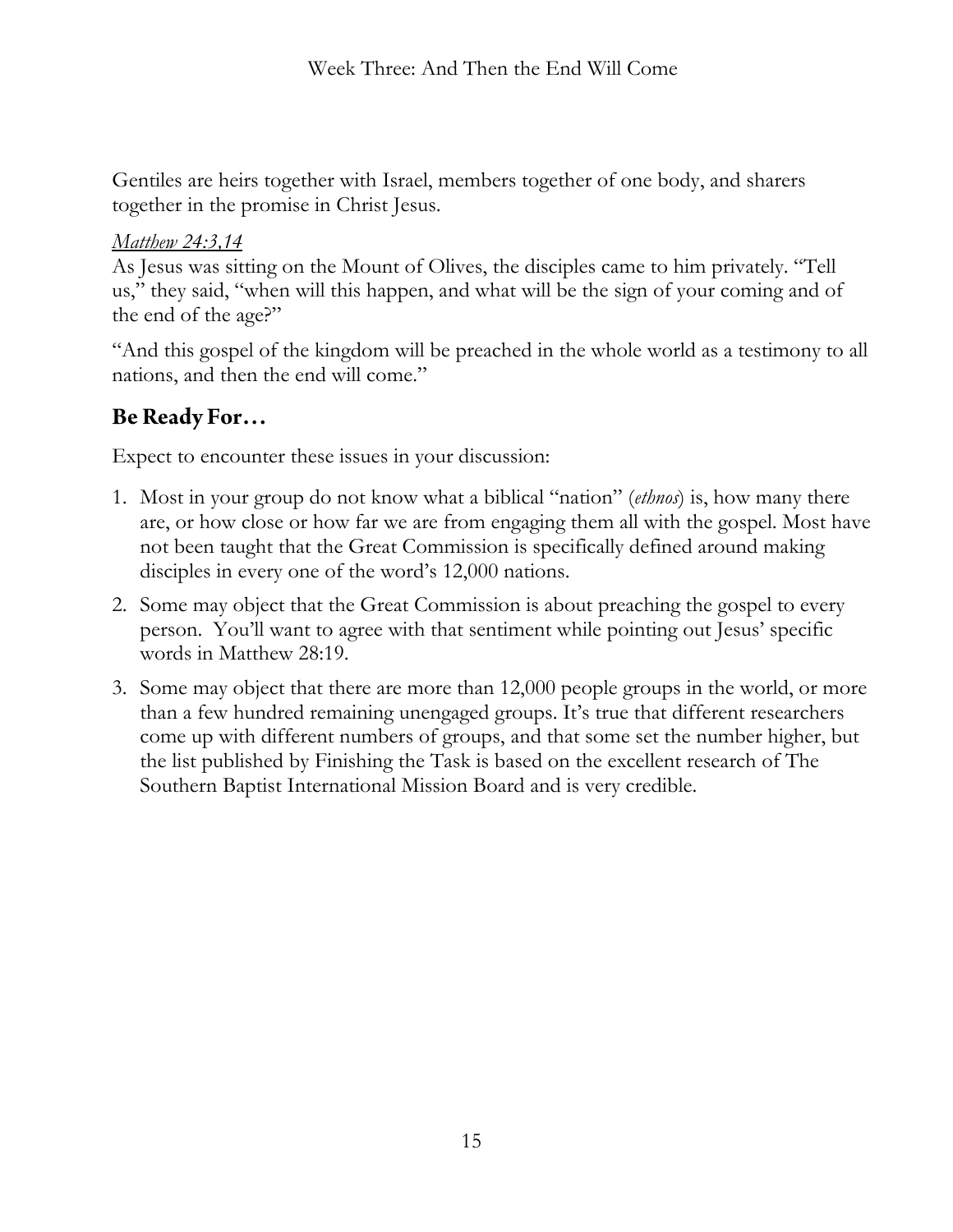Gentiles are heirs together with Israel, members together of one body, and sharers together in the promise in Christ Jesus.

#### *Matthew 24:3,14*

As Jesus was sitting on the Mount of Olives, the disciples came to him privately. "Tell us," they said, "when will this happen, and what will be the sign of your coming and of the end of the age?"

"And this gospel of the kingdom will be preached in the whole world as a testimony to all nations, and then the end will come."

#### **Be Ready For…**

Expect to encounter these issues in your discussion:

- 1. Most in your group do not know what a biblical "nation" (*ethnos*) is, how many there are, or how close or how far we are from engaging them all with the gospel. Most have not been taught that the Great Commission is specifically defined around making disciples in every one of the word's 12,000 nations.
- 2. Some may object that the Great Commission is about preaching the gospel to every person. You'll want to agree with that sentiment while pointing out Jesus' specific words in Matthew 28:19.
- 3. Some may object that there are more than 12,000 people groups in the world, or more than a few hundred remaining unengaged groups. It's true that different researchers come up with different numbers of groups, and that some set the number higher, but the list published by Finishing the Task is based on the excellent research of The Southern Baptist International Mission Board and is very credible.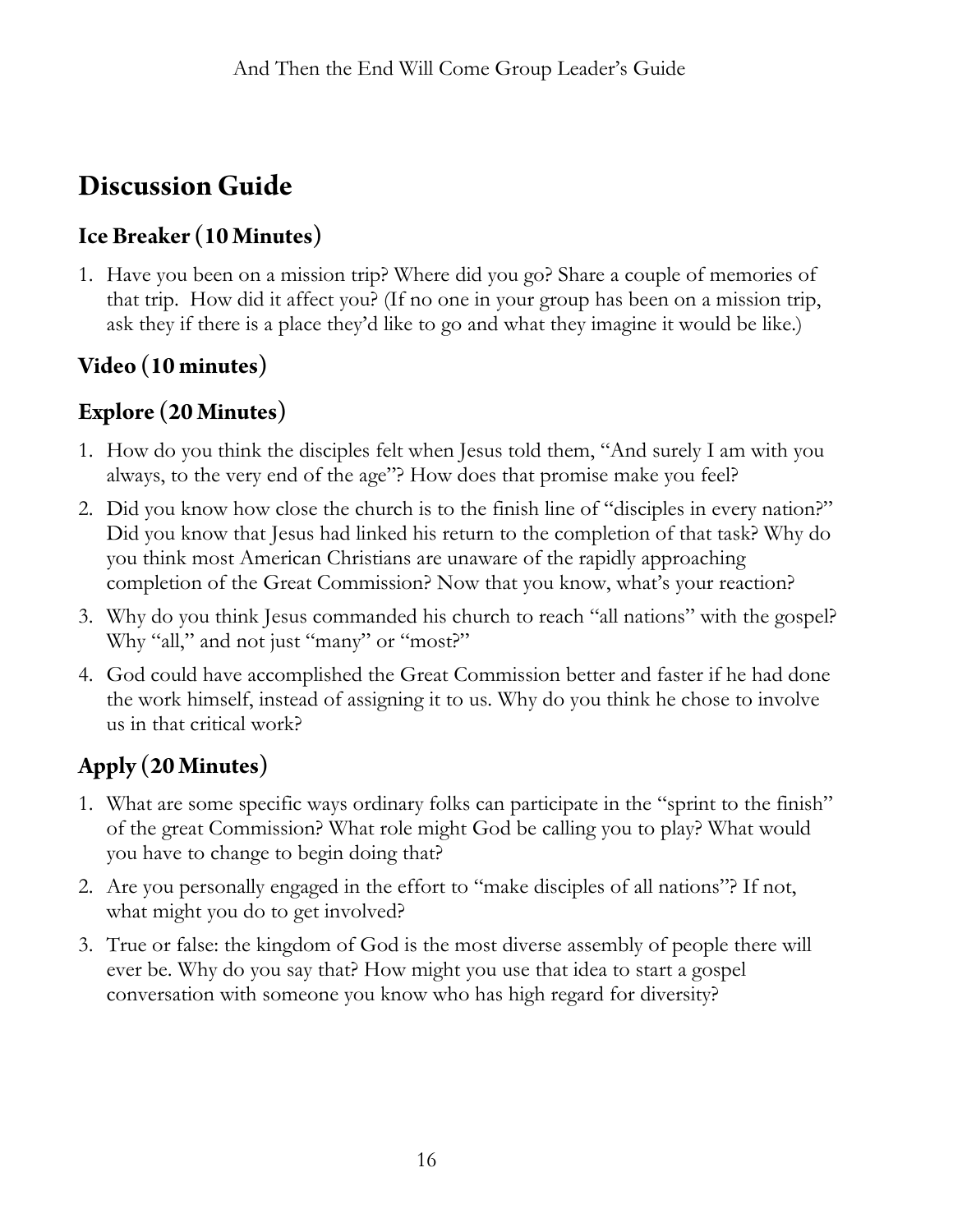## **Ice Breaker(10 Minutes)**

1. Have you been on a mission trip? Where did you go? Share a couple of memories of that trip. How did it affect you? (If no one in your group has been on a mission trip, ask they if there is a place they'd like to go and what they imagine it would be like.)

## **Video (10 minutes)**

## **Explore (20 Minutes)**

- 1. How do you think the disciples felt when Jesus told them, "And surely I am with you always, to the very end of the age"? How does that promise make you feel?
- 2. Did you know how close the church is to the finish line of "disciples in every nation?" Did you know that Jesus had linked his return to the completion of that task? Why do you think most American Christians are unaware of the rapidly approaching completion of the Great Commission? Now that you know, what's your reaction?
- 3. Why do you think Jesus commanded his church to reach "all nations" with the gospel? Why "all," and not just "many" or "most?"
- 4. God could have accomplished the Great Commission better and faster if he had done the work himself, instead of assigning it to us. Why do you think he chose to involve us in that critical work?

## **Apply (20 Minutes)**

- 1. What are some specific ways ordinary folks can participate in the "sprint to the finish" of the great Commission? What role might God be calling you to play? What would you have to change to begin doing that?
- 2. Are you personally engaged in the effort to "make disciples of all nations"? If not, what might you do to get involved?
- 3. True or false: the kingdom of God is the most diverse assembly of people there will ever be. Why do you say that? How might you use that idea to start a gospel conversation with someone you know who has high regard for diversity?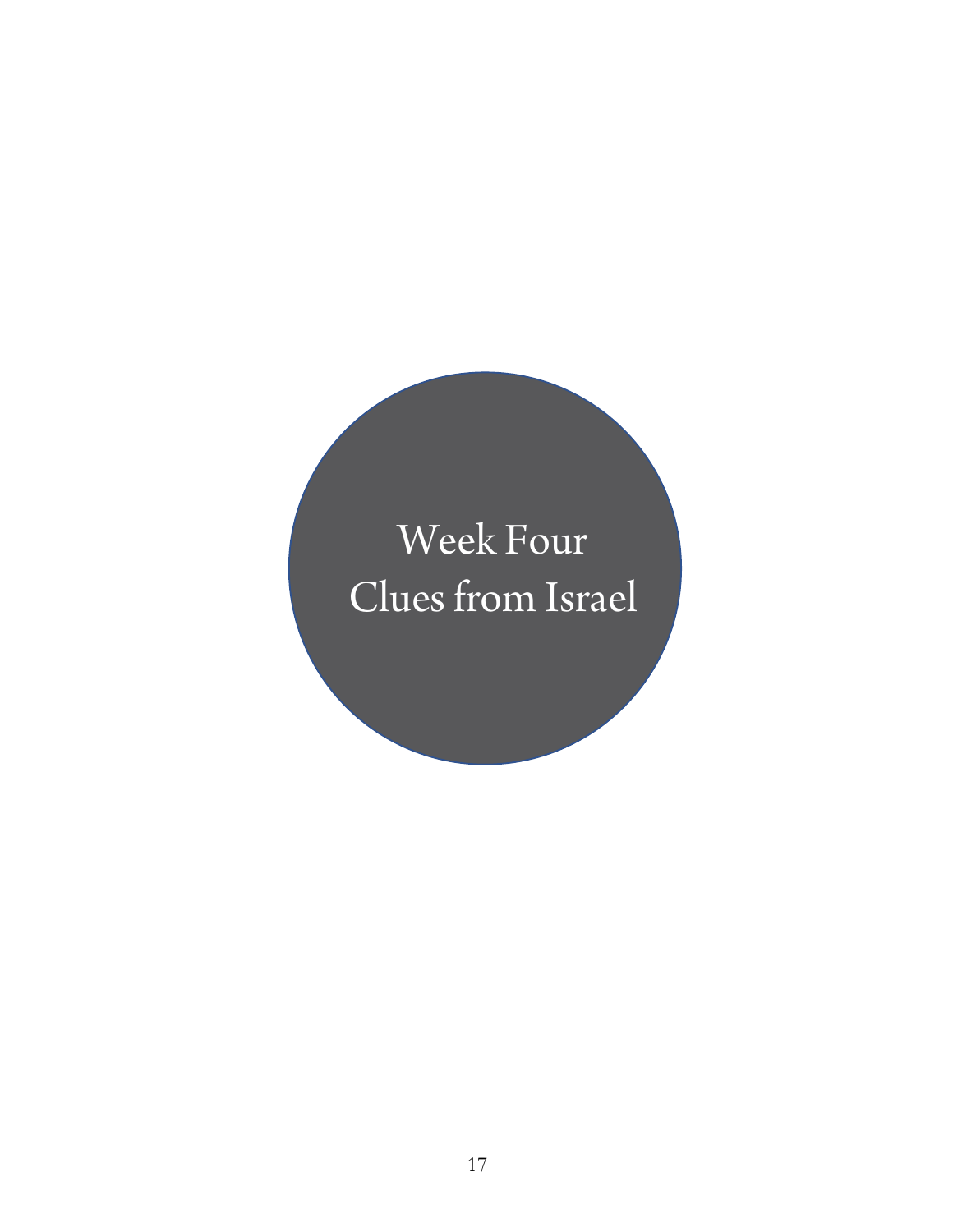# Week Four Clues from Israel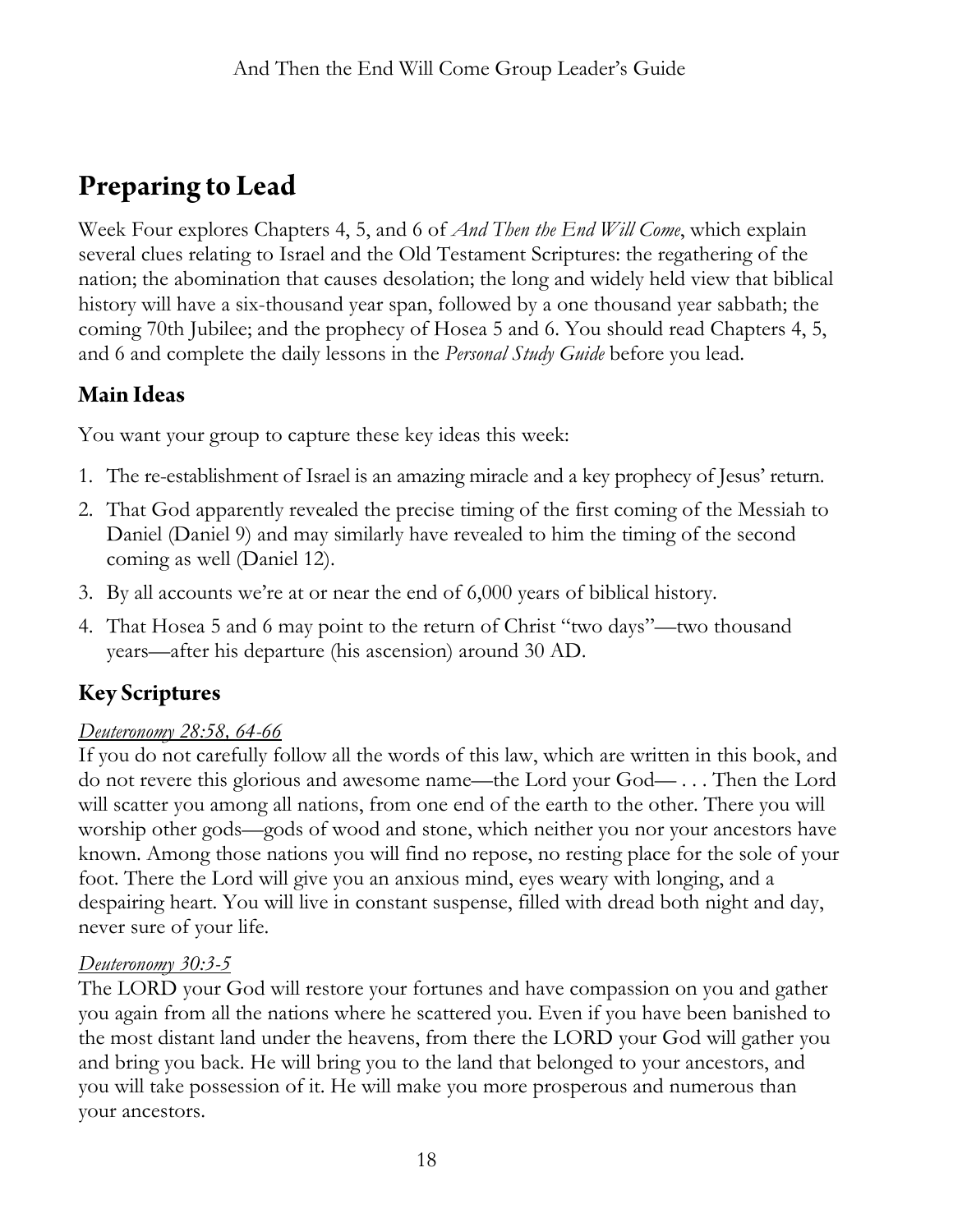Week Four explores Chapters 4, 5, and 6 of *And Then the End Will Come*, which explain several clues relating to Israel and the Old Testament Scriptures: the regathering of the nation; the abomination that causes desolation; the long and widely held view that biblical history will have a six-thousand year span, followed by a one thousand year sabbath; the coming 70th Jubilee; and the prophecy of Hosea 5 and 6. You should read Chapters 4, 5, and 6 and complete the daily lessons in the *Personal Study Guide* before you lead.

## **Main Ideas**

You want your group to capture these key ideas this week:

- 1. The re-establishment of Israel is an amazing miracle and a key prophecy of Jesus' return.
- 2. That God apparently revealed the precise timing of the first coming of the Messiah to Daniel (Daniel 9) and may similarly have revealed to him the timing of the second coming as well (Daniel 12).
- 3. By all accounts we're at or near the end of 6,000 years of biblical history.
- 4. That Hosea 5 and 6 may point to the return of Christ "two days"—two thousand years—after his departure (his ascension) around 30 AD.

## **Key Scriptures**

#### *Deuteronomy 28:58, 64-66*

If you do not carefully follow all the words of this law, which are written in this book, and do not revere this glorious and awesome name—the Lord your God— . . . Then the Lord will scatter you among all nations, from one end of the earth to the other. There you will worship other gods—gods of wood and stone, which neither you nor your ancestors have known. Among those nations you will find no repose, no resting place for the sole of your foot. There the Lord will give you an anxious mind, eyes weary with longing, and a despairing heart. You will live in constant suspense, filled with dread both night and day, never sure of your life.

#### *Deuteronomy 30:3-5*

The LORD your God will restore your fortunes and have compassion on you and gather you again from all the nations where he scattered you. Even if you have been banished to the most distant land under the heavens, from there the LORD your God will gather you and bring you back. He will bring you to the land that belonged to your ancestors, and you will take possession of it. He will make you more prosperous and numerous than your ancestors.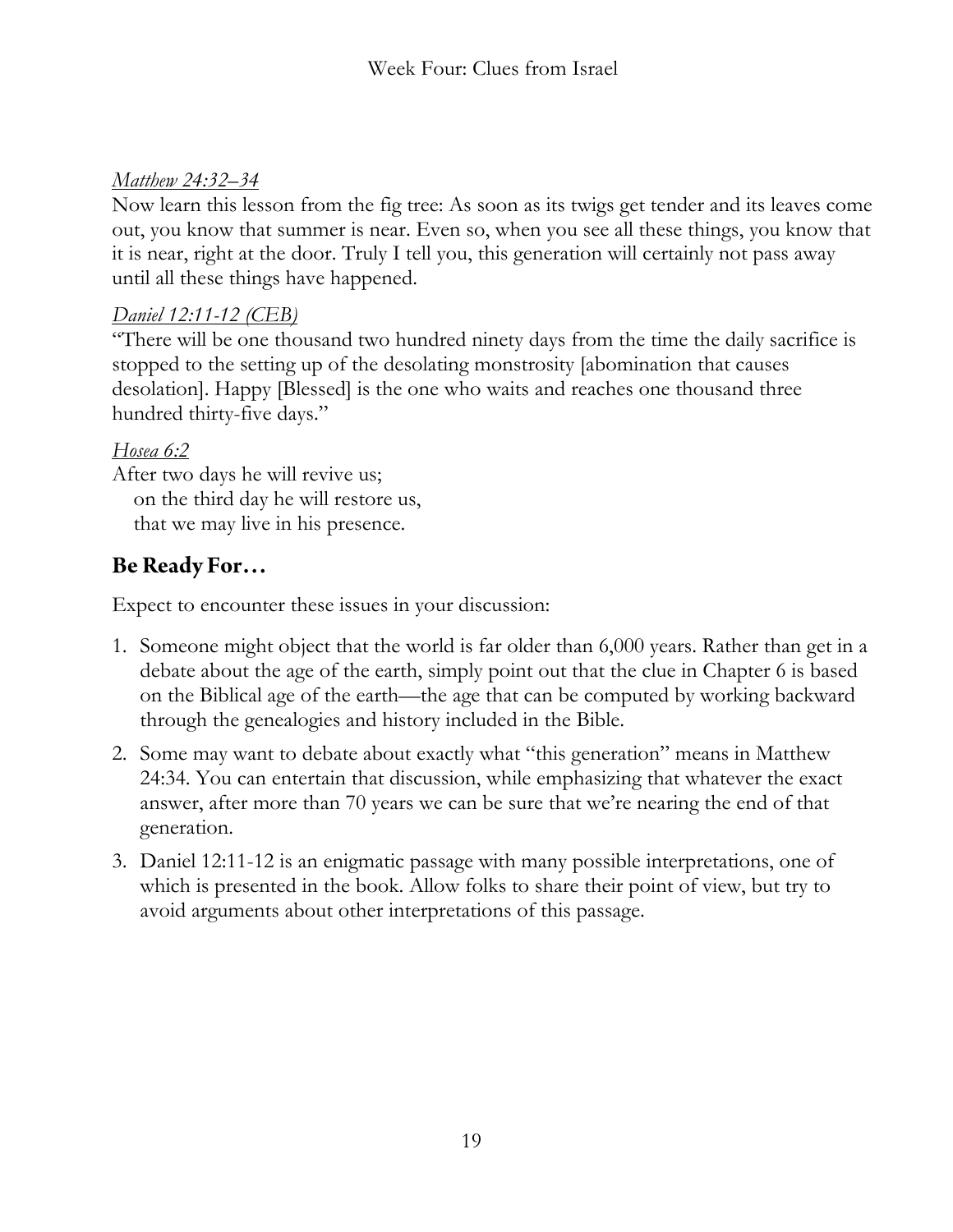#### *Matthew 24:32–34*

Now learn this lesson from the fig tree: As soon as its twigs get tender and its leaves come out, you know that summer is near. Even so, when you see all these things, you know that it is near, right at the door. Truly I tell you, this generation will certainly not pass away until all these things have happened.

#### *Daniel 12:11-12 (CEB)*

"There will be one thousand two hundred ninety days from the time the daily sacrifice is stopped to the setting up of the desolating monstrosity [abomination that causes desolation]. Happy [Blessed] is the one who waits and reaches one thousand three hundred thirty-five days."

#### *Hosea 6:2*

After two days he will revive us; on the third day he will restore us, that we may live in his presence.

## **Be Ready For…**

Expect to encounter these issues in your discussion:

- 1. Someone might object that the world is far older than 6,000 years. Rather than get in a debate about the age of the earth, simply point out that the clue in Chapter 6 is based on the Biblical age of the earth—the age that can be computed by working backward through the genealogies and history included in the Bible.
- 2. Some may want to debate about exactly what "this generation" means in Matthew 24:34. You can entertain that discussion, while emphasizing that whatever the exact answer, after more than 70 years we can be sure that we're nearing the end of that generation.
- 3. Daniel 12:11-12 is an enigmatic passage with many possible interpretations, one of which is presented in the book. Allow folks to share their point of view, but try to avoid arguments about other interpretations of this passage.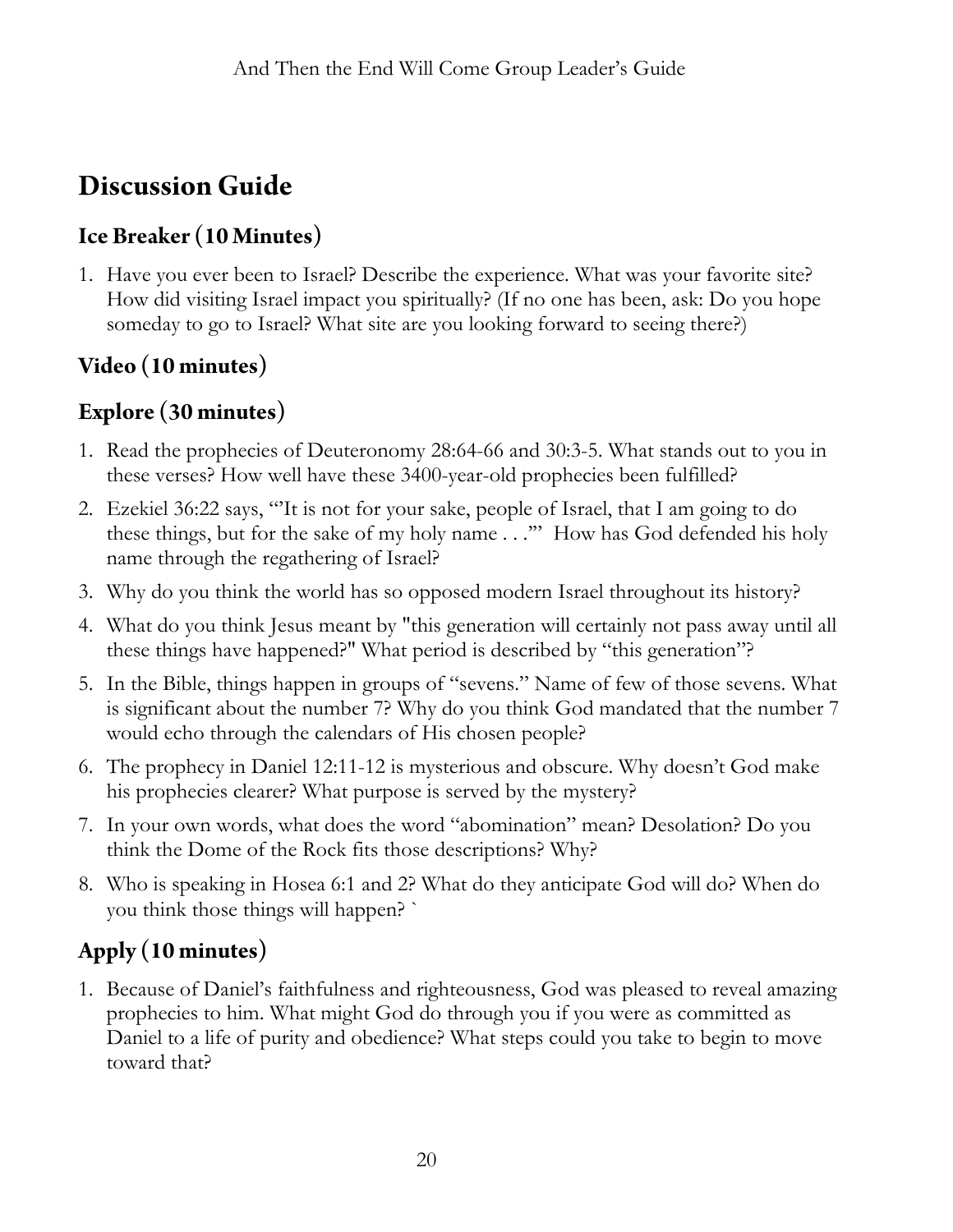## **Ice Breaker(10 Minutes)**

1. Have you ever been to Israel? Describe the experience. What was your favorite site? How did visiting Israel impact you spiritually? (If no one has been, ask: Do you hope someday to go to Israel? What site are you looking forward to seeing there?)

## **Video (10 minutes)**

## **Explore (30 minutes)**

- 1. Read the prophecies of Deuteronomy 28:64-66 and 30:3-5. What stands out to you in these verses? How well have these 3400-year-old prophecies been fulfilled?
- 2. Ezekiel 36:22 says, "'It is not for your sake, people of Israel, that I am going to do these things, but for the sake of my holy name . . .'" How has God defended his holy name through the regathering of Israel?
- 3. Why do you think the world has so opposed modern Israel throughout its history?
- 4. What do you think Jesus meant by "this generation will certainly not pass away until all these things have happened?" What period is described by "this generation"?
- 5. In the Bible, things happen in groups of "sevens." Name of few of those sevens. What is significant about the number 7? Why do you think God mandated that the number 7 would echo through the calendars of His chosen people?
- 6. The prophecy in Daniel 12:11-12 is mysterious and obscure. Why doesn't God make his prophecies clearer? What purpose is served by the mystery?
- 7. In your own words, what does the word "abomination" mean? Desolation? Do you think the Dome of the Rock fits those descriptions? Why?
- 8. Who is speaking in Hosea 6:1 and 2? What do they anticipate God will do? When do you think those things will happen? `

## **Apply (10 minutes)**

1. Because of Daniel's faithfulness and righteousness, God was pleased to reveal amazing prophecies to him. What might God do through you if you were as committed as Daniel to a life of purity and obedience? What steps could you take to begin to move toward that?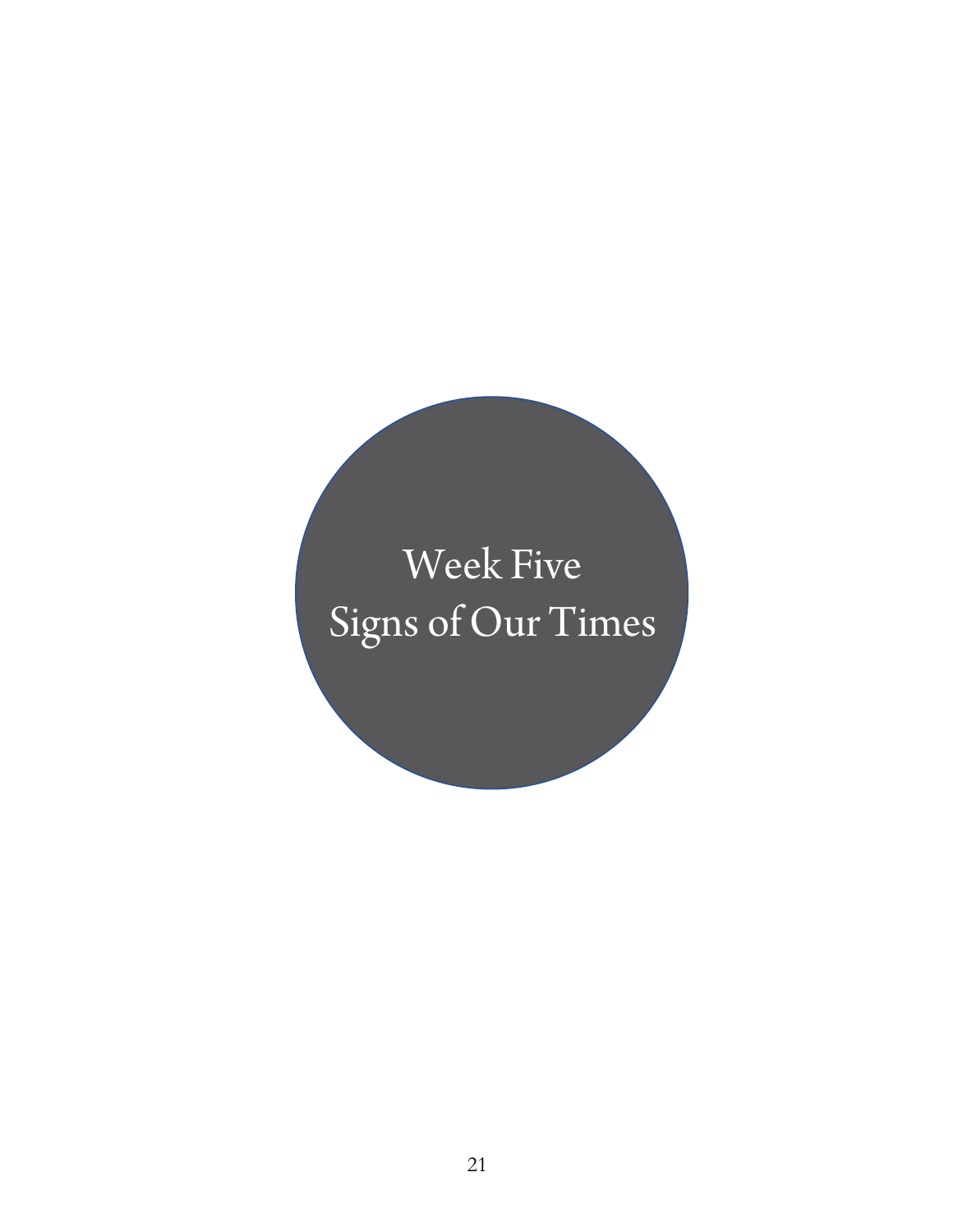# Week Five Signs of Our Times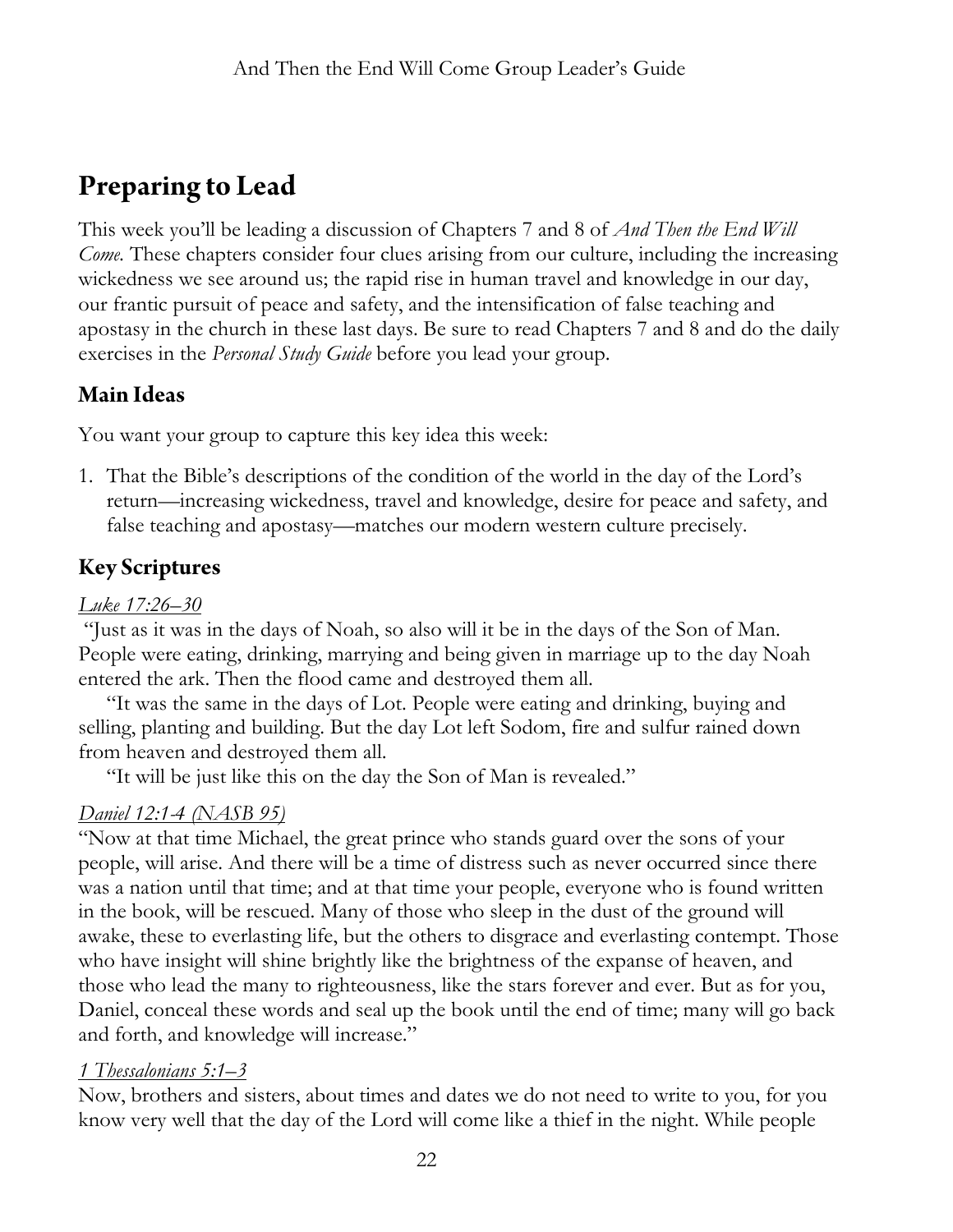This week you'll be leading a discussion of Chapters 7 and 8 of *And Then the End Will Come*. These chapters consider four clues arising from our culture, including the increasing wickedness we see around us; the rapid rise in human travel and knowledge in our day, our frantic pursuit of peace and safety, and the intensification of false teaching and apostasy in the church in these last days. Be sure to read Chapters 7 and 8 and do the daily exercises in the *Personal Study Guide* before you lead your group.

#### **Main Ideas**

You want your group to capture this key idea this week:

1. That the Bible's descriptions of the condition of the world in the day of the Lord's return—increasing wickedness, travel and knowledge, desire for peace and safety, and false teaching and apostasy—matches our modern western culture precisely.

### **Key Scriptures**

#### *Luke 17:26–30*

"Just as it was in the days of Noah, so also will it be in the days of the Son of Man. People were eating, drinking, marrying and being given in marriage up to the day Noah entered the ark. Then the flood came and destroyed them all.

"It was the same in the days of Lot. People were eating and drinking, buying and selling, planting and building. But the day Lot left Sodom, fire and sulfur rained down from heaven and destroyed them all.

"It will be just like this on the day the Son of Man is revealed."

#### *Daniel 12:1-4 (NASB 95)*

"Now at that time Michael, the great prince who stands guard over the sons of your people, will arise. And there will be a time of distress such as never occurred since there was a nation until that time; and at that time your people, everyone who is found written in the book, will be rescued. Many of those who sleep in the dust of the ground will awake, these to everlasting life, but the others to disgrace and everlasting contempt. Those who have insight will shine brightly like the brightness of the expanse of heaven, and those who lead the many to righteousness, like the stars forever and ever. But as for you, Daniel, conceal these words and seal up the book until the end of time; many will go back and forth, and knowledge will increase."

#### *1 Thessalonians 5:1–3*

Now, brothers and sisters, about times and dates we do not need to write to you, for you know very well that the day of the Lord will come like a thief in the night. While people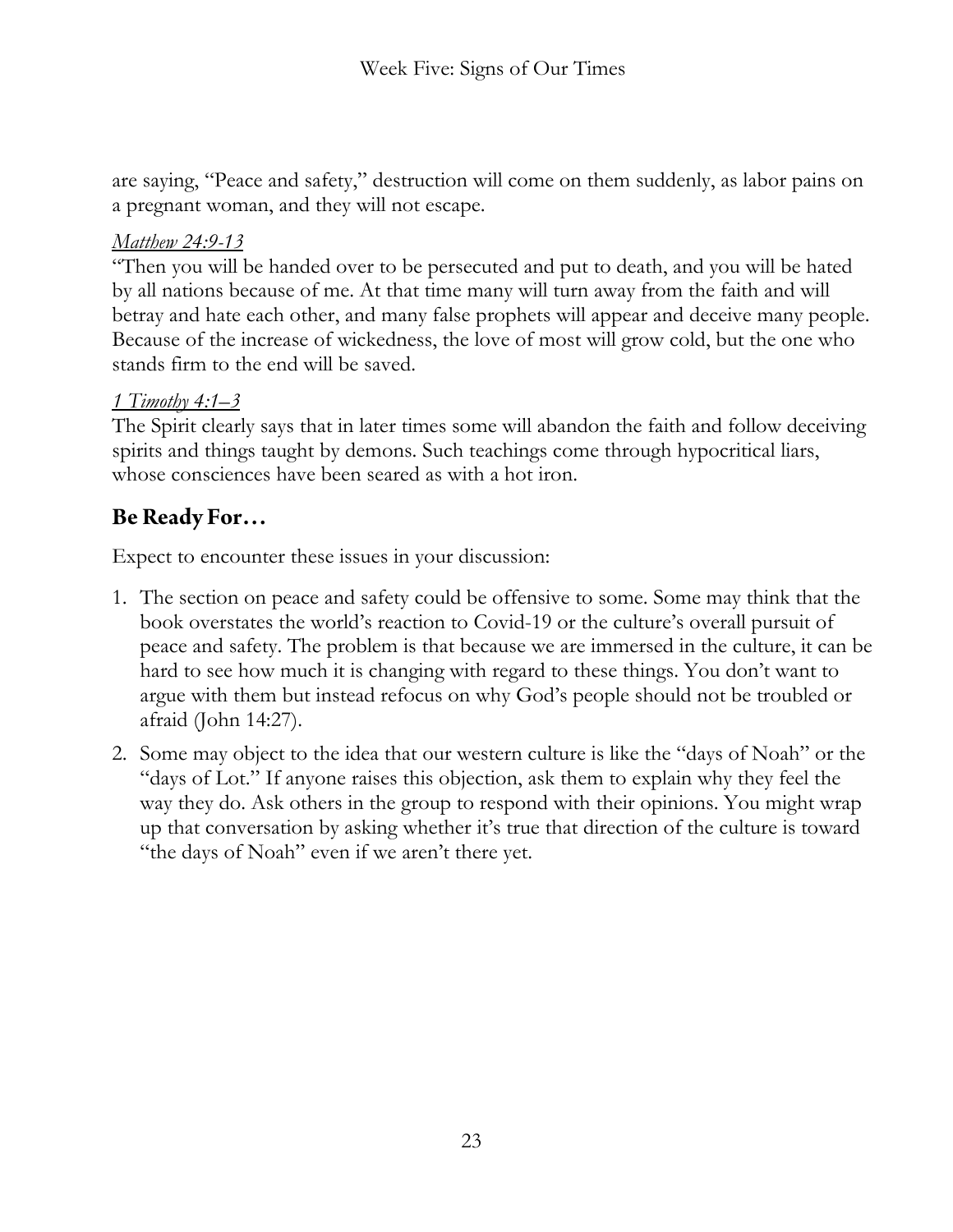are saying, "Peace and safety," destruction will come on them suddenly, as labor pains on a pregnant woman, and they will not escape.

#### *Matthew 24:9-13*

"Then you will be handed over to be persecuted and put to death, and you will be hated by all nations because of me. At that time many will turn away from the faith and will betray and hate each other, and many false prophets will appear and deceive many people. Because of the increase of wickedness, the love of most will grow cold, but the one who stands firm to the end will be saved.

#### *1 Timothy 4:1–3*

The Spirit clearly says that in later times some will abandon the faith and follow deceiving spirits and things taught by demons. Such teachings come through hypocritical liars, whose consciences have been seared as with a hot iron.

#### **Be Ready For…**

Expect to encounter these issues in your discussion:

- 1. The section on peace and safety could be offensive to some. Some may think that the book overstates the world's reaction to Covid-19 or the culture's overall pursuit of peace and safety. The problem is that because we are immersed in the culture, it can be hard to see how much it is changing with regard to these things. You don't want to argue with them but instead refocus on why God's people should not be troubled or afraid (John 14:27).
- 2. Some may object to the idea that our western culture is like the "days of Noah" or the "days of Lot." If anyone raises this objection, ask them to explain why they feel the way they do. Ask others in the group to respond with their opinions. You might wrap up that conversation by asking whether it's true that direction of the culture is toward "the days of Noah" even if we aren't there yet.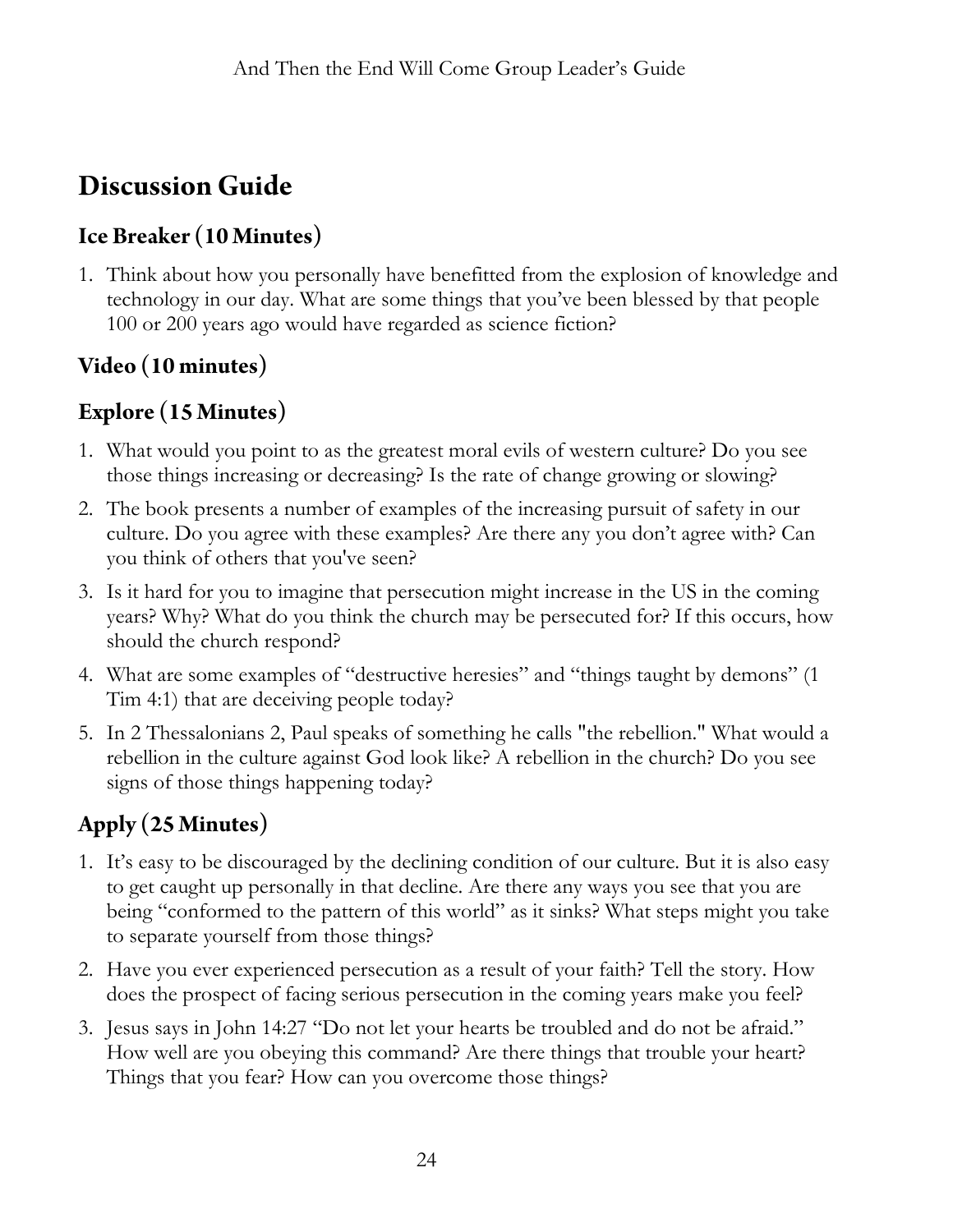## **Ice Breaker(10 Minutes)**

1. Think about how you personally have benefitted from the explosion of knowledge and technology in our day. What are some things that you've been blessed by that people 100 or 200 years ago would have regarded as science fiction?

## **Video (10 minutes)**

## **Explore (15 Minutes)**

- 1. What would you point to as the greatest moral evils of western culture? Do you see those things increasing or decreasing? Is the rate of change growing or slowing?
- 2. The book presents a number of examples of the increasing pursuit of safety in our culture. Do you agree with these examples? Are there any you don't agree with? Can you think of others that you've seen?
- 3. Is it hard for you to imagine that persecution might increase in the US in the coming years? Why? What do you think the church may be persecuted for? If this occurs, how should the church respond?
- 4. What are some examples of "destructive heresies" and "things taught by demons" (1 Tim 4:1) that are deceiving people today?
- 5. In 2 Thessalonians 2, Paul speaks of something he calls "the rebellion." What would a rebellion in the culture against God look like? A rebellion in the church? Do you see signs of those things happening today?

## **Apply (25 Minutes)**

- 1. It's easy to be discouraged by the declining condition of our culture. But it is also easy to get caught up personally in that decline. Are there any ways you see that you are being "conformed to the pattern of this world" as it sinks? What steps might you take to separate yourself from those things?
- 2. Have you ever experienced persecution as a result of your faith? Tell the story. How does the prospect of facing serious persecution in the coming years make you feel?
- 3. Jesus says in John 14:27 "Do not let your hearts be troubled and do not be afraid." How well are you obeying this command? Are there things that trouble your heart? Things that you fear? How can you overcome those things?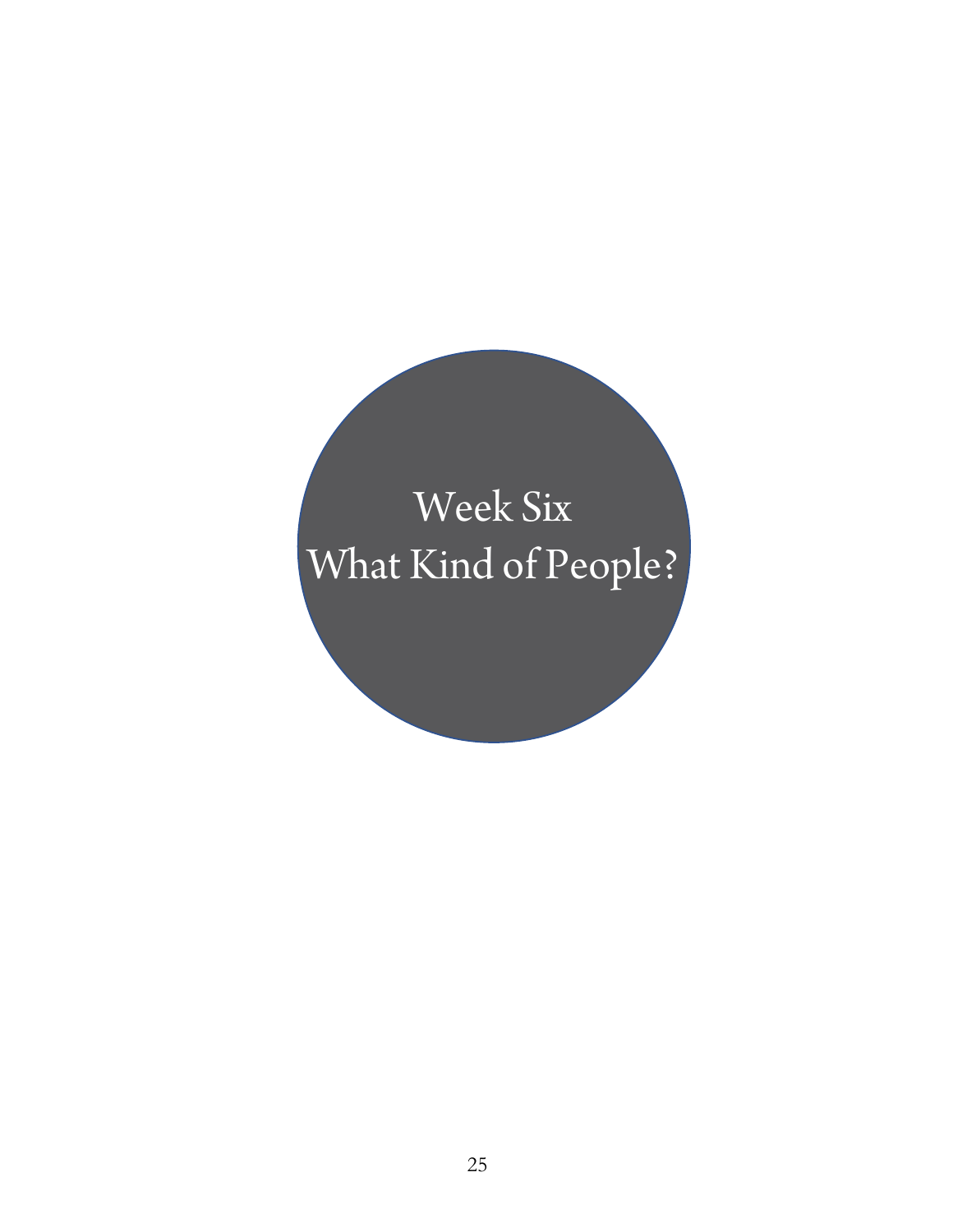# Week Six What Kind of People?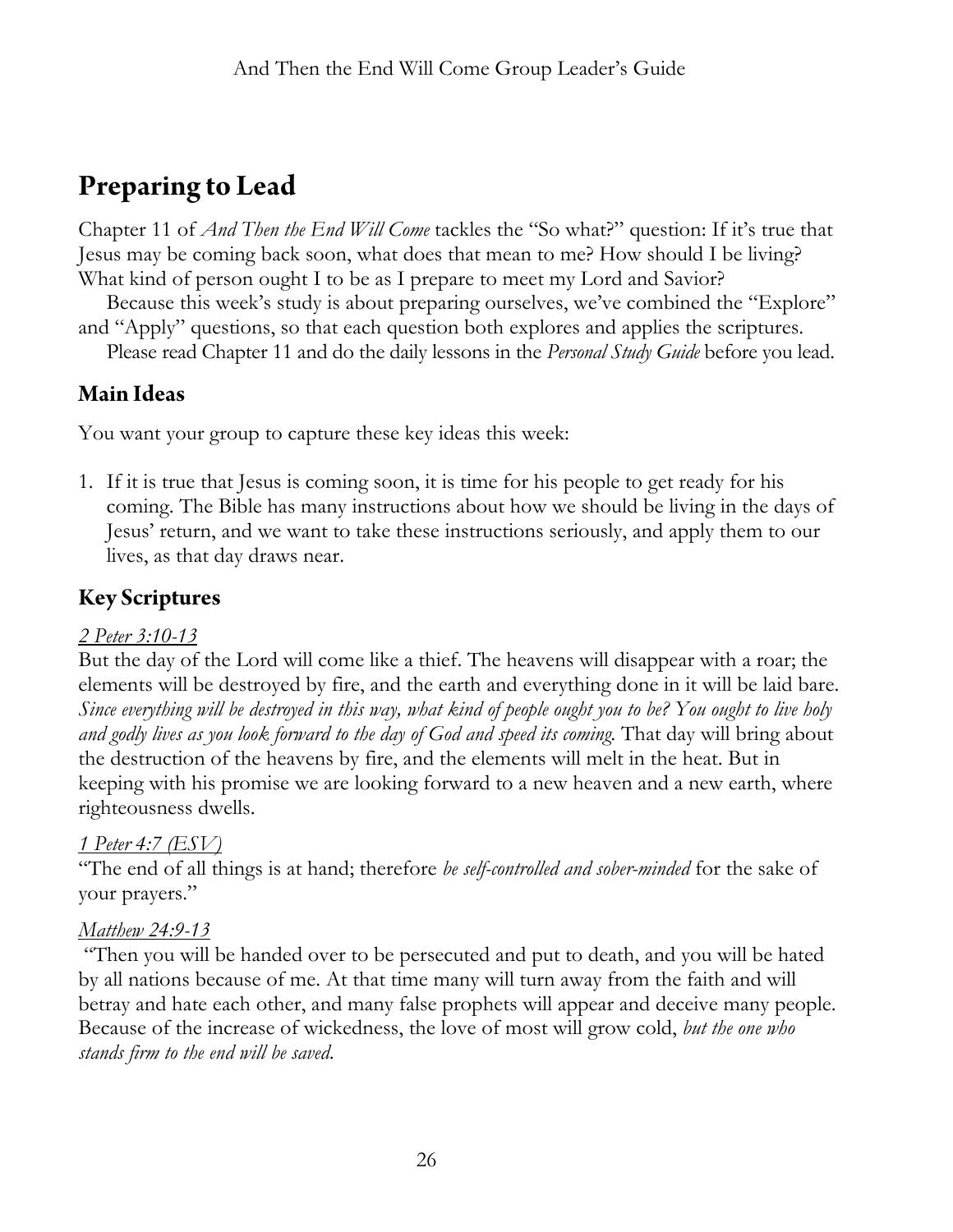Chapter 11 of *And Then the End Will Come* tackles the "So what?" question: If it's true that Jesus may be coming back soon, what does that mean to me? How should I be living? What kind of person ought I to be as I prepare to meet my Lord and Savior?

Because this week's study is about preparing ourselves, we've combined the "Explore" and "Apply" questions, so that each question both explores and applies the scriptures.

Please read Chapter 11 and do the daily lessons in the *Personal Study Guide* before you lead.

### **Main Ideas**

You want your group to capture these key ideas this week:

1. If it is true that Jesus is coming soon, it is time for his people to get ready for his coming. The Bible has many instructions about how we should be living in the days of Jesus' return, and we want to take these instructions seriously, and apply them to our lives, as that day draws near.

## **Key Scriptures**

#### *2 Peter 3:10-13*

But the day of the Lord will come like a thief. The heavens will disappear with a roar; the elements will be destroyed by fire, and the earth and everything done in it will be laid bare. *Since everything will be destroyed in this way, what kind of people ought you to be? You ought to live holy and godly lives as you look forward to the day of God and speed its coming.* That day will bring about the destruction of the heavens by fire, and the elements will melt in the heat. But in keeping with his promise we are looking forward to a new heaven and a new earth, where righteousness dwells.

#### *1 Peter 4:7 (ESV)*

"The end of all things is at hand; therefore *be self-controlled and sober-minded* for the sake of your prayers."

#### *Matthew 24:9-13*

"Then you will be handed over to be persecuted and put to death, and you will be hated by all nations because of me. At that time many will turn away from the faith and will betray and hate each other, and many false prophets will appear and deceive many people. Because of the increase of wickedness, the love of most will grow cold, *but the one who stands firm to the end will be saved*.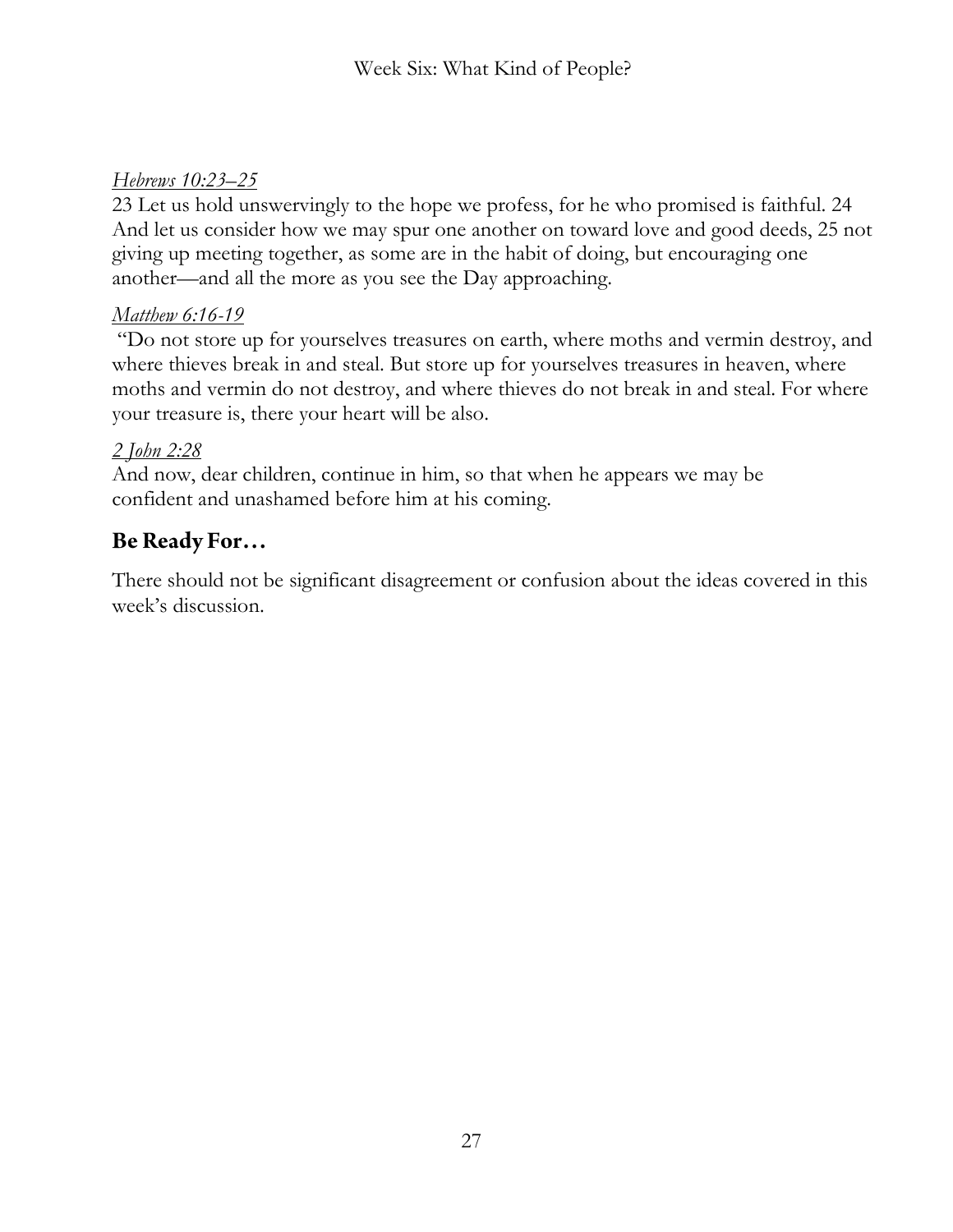#### *Hebrews 10:23–25*

23 Let us hold unswervingly to the hope we profess, for he who promised is faithful. 24 And let us consider how we may spur one another on toward love and good deeds, 25 not giving up meeting together, as some are in the habit of doing, but encouraging one another—and all the more as you see the Day approaching.

#### *Matthew 6:16-19*

"Do not store up for yourselves treasures on earth, where moths and vermin destroy, and where thieves break in and steal. But store up for yourselves treasures in heaven, where moths and vermin do not destroy, and where thieves do not break in and steal. For where your treasure is, there your heart will be also.

#### *2 John 2:28*

And now, dear children, continue in him, so that when he appears we may be confident and unashamed before him at his coming.

### **Be Ready For…**

There should not be significant disagreement or confusion about the ideas covered in this week's discussion.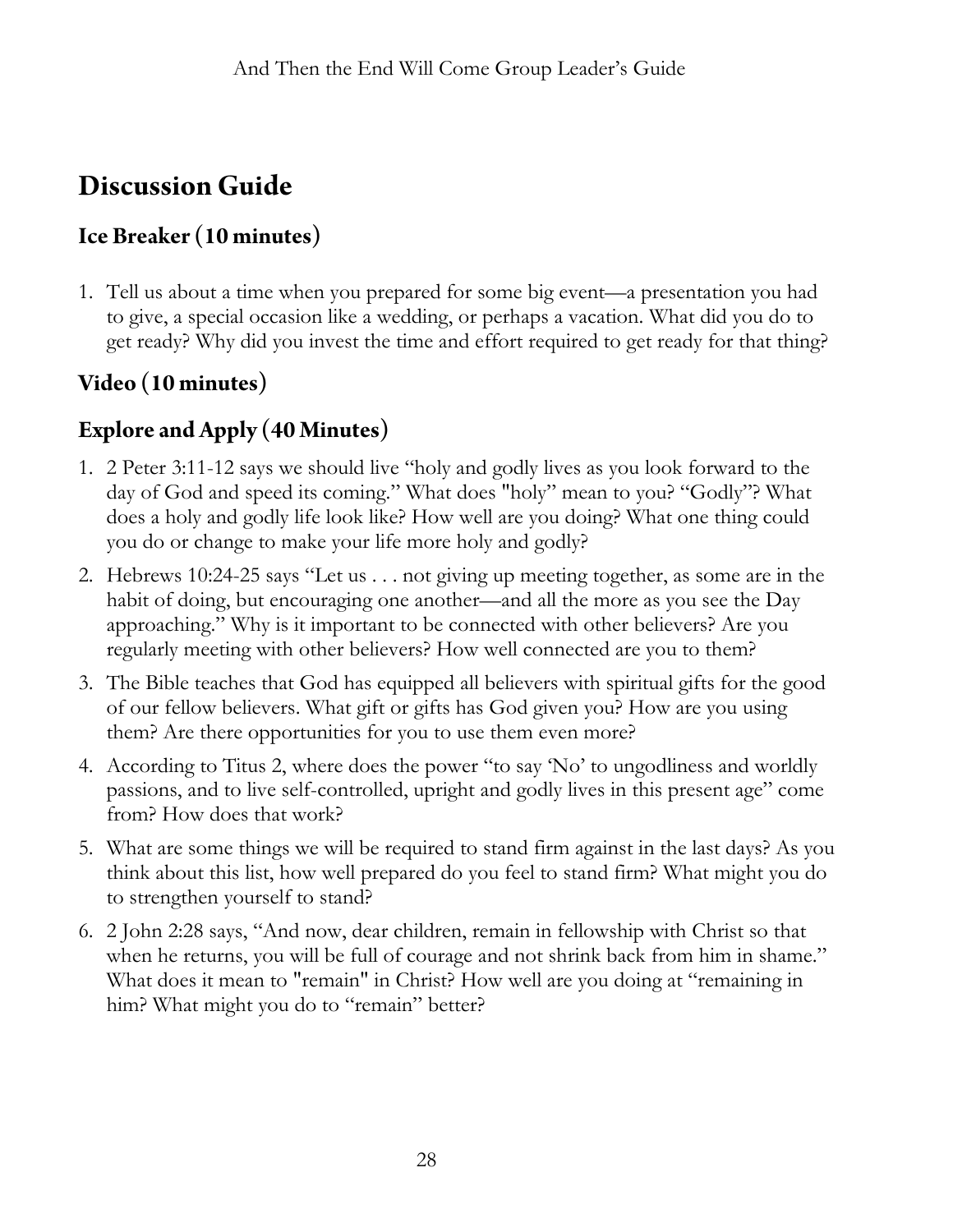### **Ice Breaker(10 minutes)**

1. Tell us about a time when you prepared for some big event—a presentation you had to give, a special occasion like a wedding, or perhaps a vacation. What did you do to get ready? Why did you invest the time and effort required to get ready for that thing?

## **Video (10 minutes)**

## **Explore and Apply (40 Minutes)**

- 1. 2 Peter 3:11-12 says we should live "holy and godly lives as you look forward to the day of God and speed its coming." What does "holy" mean to you? "Godly"? What does a holy and godly life look like? How well are you doing? What one thing could you do or change to make your life more holy and godly?
- 2. Hebrews 10:24-25 says "Let us . . . not giving up meeting together, as some are in the habit of doing, but encouraging one another—and all the more as you see the Day approaching." Why is it important to be connected with other believers? Are you regularly meeting with other believers? How well connected are you to them?
- 3. The Bible teaches that God has equipped all believers with spiritual gifts for the good of our fellow believers. What gift or gifts has God given you? How are you using them? Are there opportunities for you to use them even more?
- 4. According to Titus 2, where does the power "to say 'No' to ungodliness and worldly passions, and to live self-controlled, upright and godly lives in this present age" come from? How does that work?
- 5. What are some things we will be required to stand firm against in the last days? As you think about this list, how well prepared do you feel to stand firm? What might you do to strengthen yourself to stand?
- 6. 2 John 2:28 says, "And now, dear children, remain in fellowship with Christ so that when he returns, you will be full of courage and not shrink back from him in shame." What does it mean to "remain" in Christ? How well are you doing at "remaining in him? What might you do to "remain" better?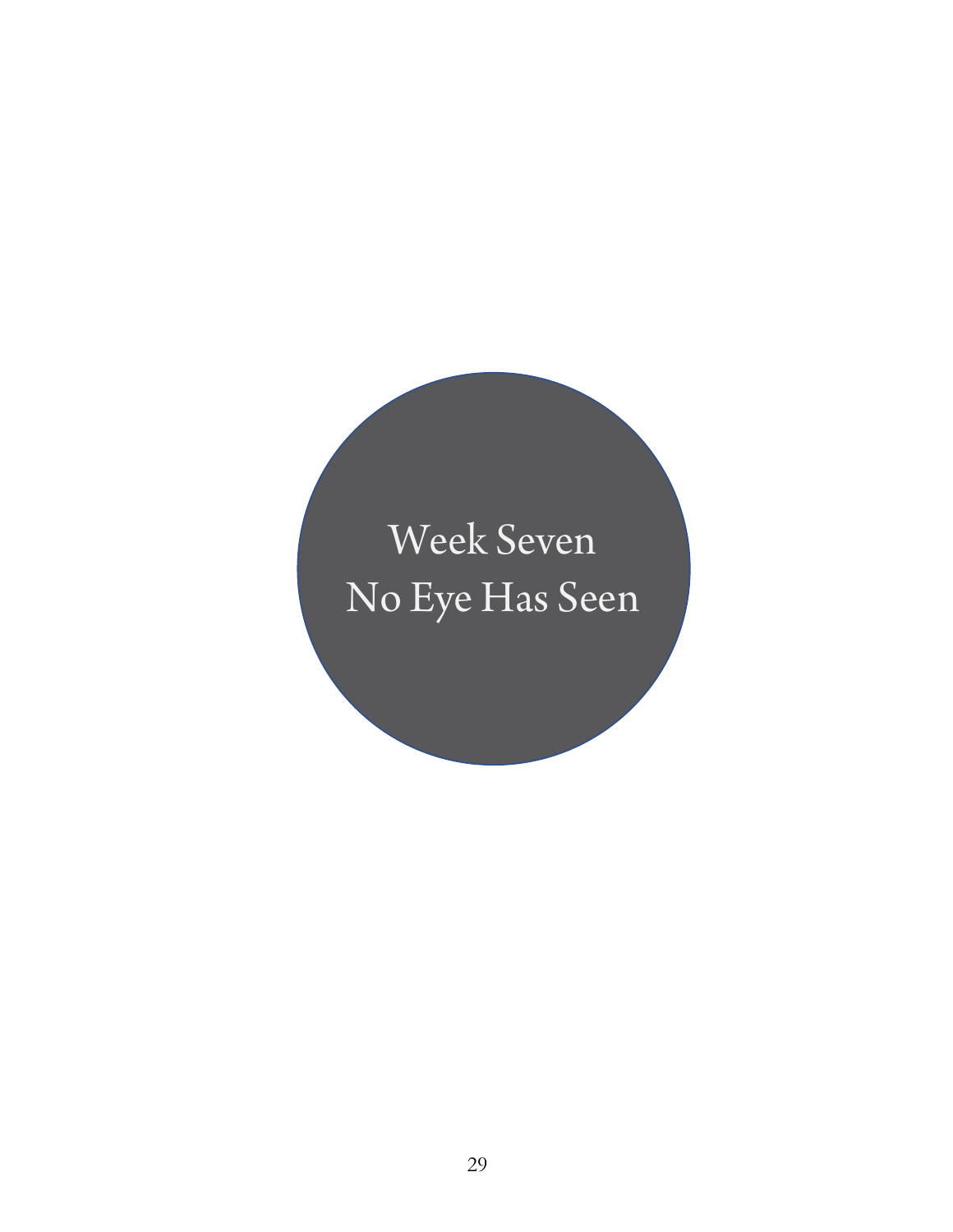# Week Seven No Eye Has Seen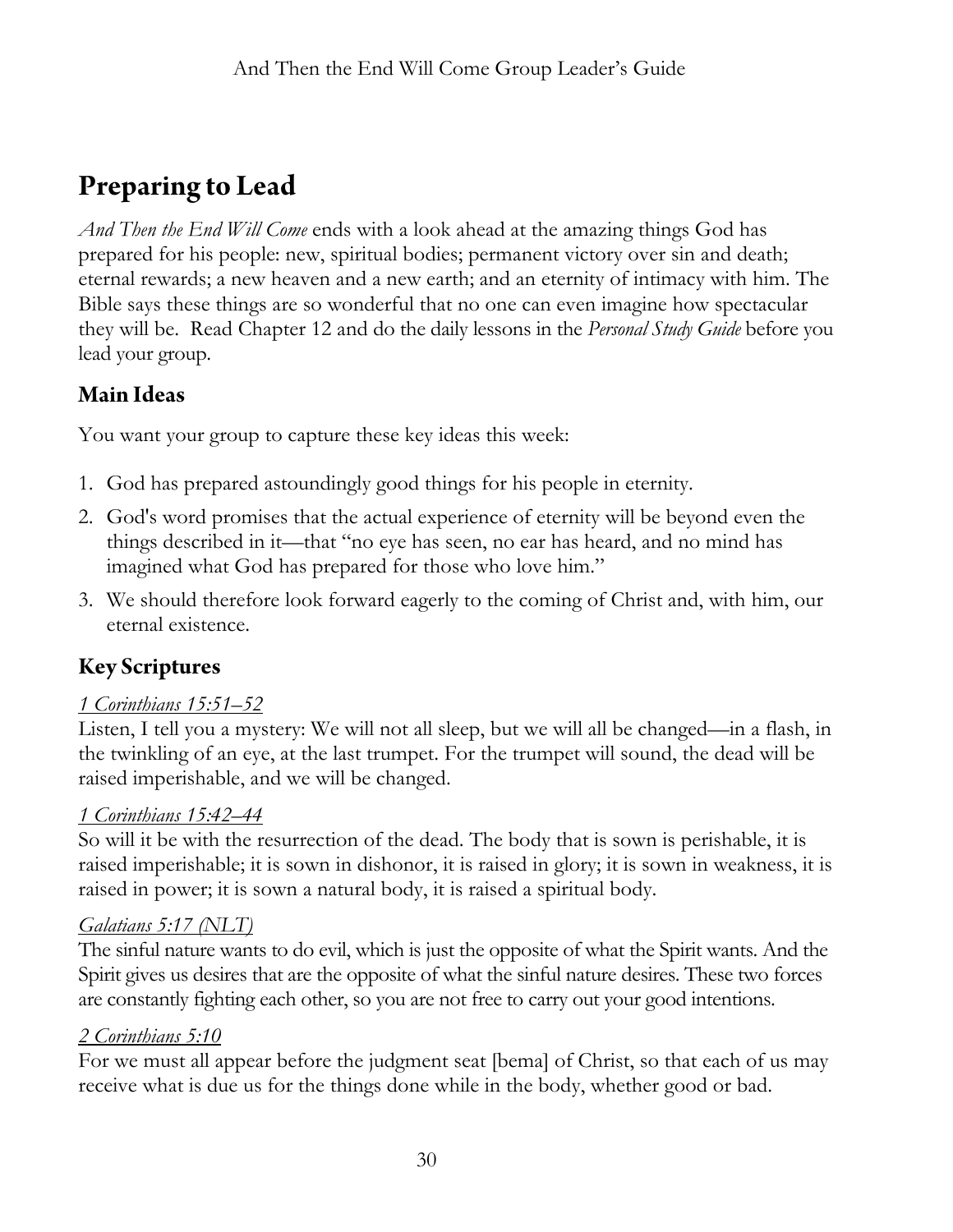*And Then the End Will Come* ends with a look ahead at the amazing things God has prepared for his people: new, spiritual bodies; permanent victory over sin and death; eternal rewards; a new heaven and a new earth; and an eternity of intimacy with him. The Bible says these things are so wonderful that no one can even imagine how spectacular they will be. Read Chapter 12 and do the daily lessons in the *Personal Study Guide* before you lead your group.

### **Main Ideas**

You want your group to capture these key ideas this week:

- 1. God has prepared astoundingly good things for his people in eternity.
- 2. God's word promises that the actual experience of eternity will be beyond even the things described in it—that "no eye has seen, no ear has heard, and no mind has imagined what God has prepared for those who love him."
- 3. We should therefore look forward eagerly to the coming of Christ and, with him, our eternal existence.

## **Key Scriptures**

#### *1 Corinthians 15:51–52*

Listen, I tell you a mystery: We will not all sleep, but we will all be changed—in a flash, in the twinkling of an eye, at the last trumpet. For the trumpet will sound, the dead will be raised imperishable, and we will be changed.

#### *1 Corinthians 15:42–44*

So will it be with the resurrection of the dead. The body that is sown is perishable, it is raised imperishable; it is sown in dishonor, it is raised in glory; it is sown in weakness, it is raised in power; it is sown a natural body, it is raised a spiritual body.

#### *Galatians 5:17 (NLT)*

The sinful nature wants to do evil, which is just the opposite of what the Spirit wants. And the Spirit gives us desires that are the opposite of what the sinful nature desires. These two forces are constantly fighting each other, so you are not free to carry out your good intentions.

#### *2 Corinthians 5:10*

For we must all appear before the judgment seat [bema] of Christ, so that each of us may receive what is due us for the things done while in the body, whether good or bad.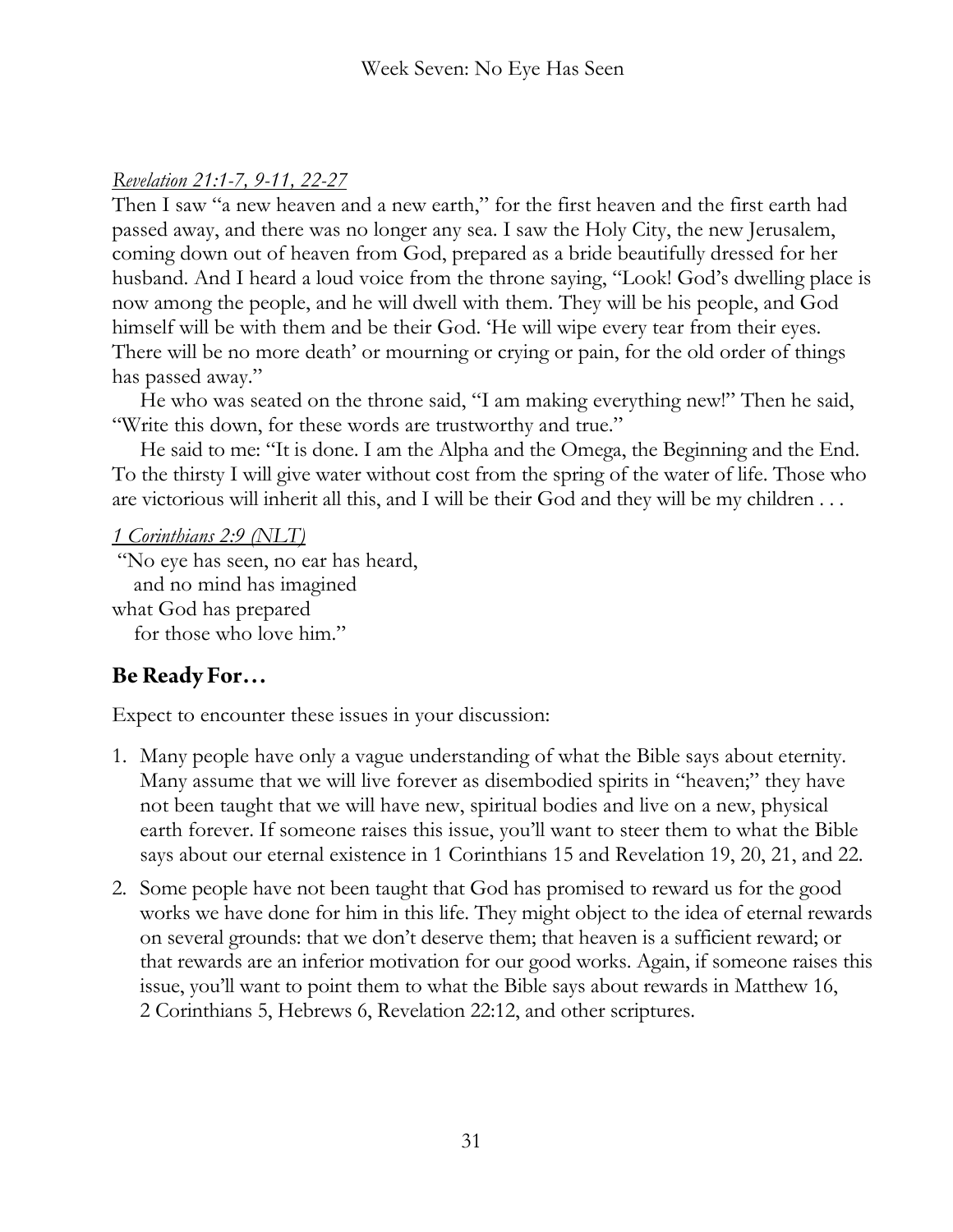#### *Revelation 21:1-7, 9-11, 22-27*

Then I saw "a new heaven and a new earth," for the first heaven and the first earth had passed away, and there was no longer any sea. I saw the Holy City, the new Jerusalem, coming down out of heaven from God, prepared as a bride beautifully dressed for her husband. And I heard a loud voice from the throne saying, "Look! God's dwelling place is now among the people, and he will dwell with them. They will be his people, and God himself will be with them and be their God. 'He will wipe every tear from their eyes. There will be no more death' or mourning or crying or pain, for the old order of things has passed away."

He who was seated on the throne said, "I am making everything new!" Then he said, "Write this down, for these words are trustworthy and true."

He said to me: "It is done. I am the Alpha and the Omega, the Beginning and the End. To the thirsty I will give water without cost from the spring of the water of life. Those who are victorious will inherit all this, and I will be their God and they will be my children . . .

```
1 Corinthians 2:9 (NLT)
```
"No eye has seen, no ear has heard, and no mind has imagined what God has prepared for those who love him."

## **Be Ready For…**

Expect to encounter these issues in your discussion:

- 1. Many people have only a vague understanding of what the Bible says about eternity. Many assume that we will live forever as disembodied spirits in "heaven;" they have not been taught that we will have new, spiritual bodies and live on a new, physical earth forever. If someone raises this issue, you'll want to steer them to what the Bible says about our eternal existence in 1 Corinthians 15 and Revelation 19, 20, 21, and 22.
- 2. Some people have not been taught that God has promised to reward us for the good works we have done for him in this life. They might object to the idea of eternal rewards on several grounds: that we don't deserve them; that heaven is a sufficient reward; or that rewards are an inferior motivation for our good works. Again, if someone raises this issue, you'll want to point them to what the Bible says about rewards in Matthew 16, 2 Corinthians 5, Hebrews 6, Revelation 22:12, and other scriptures.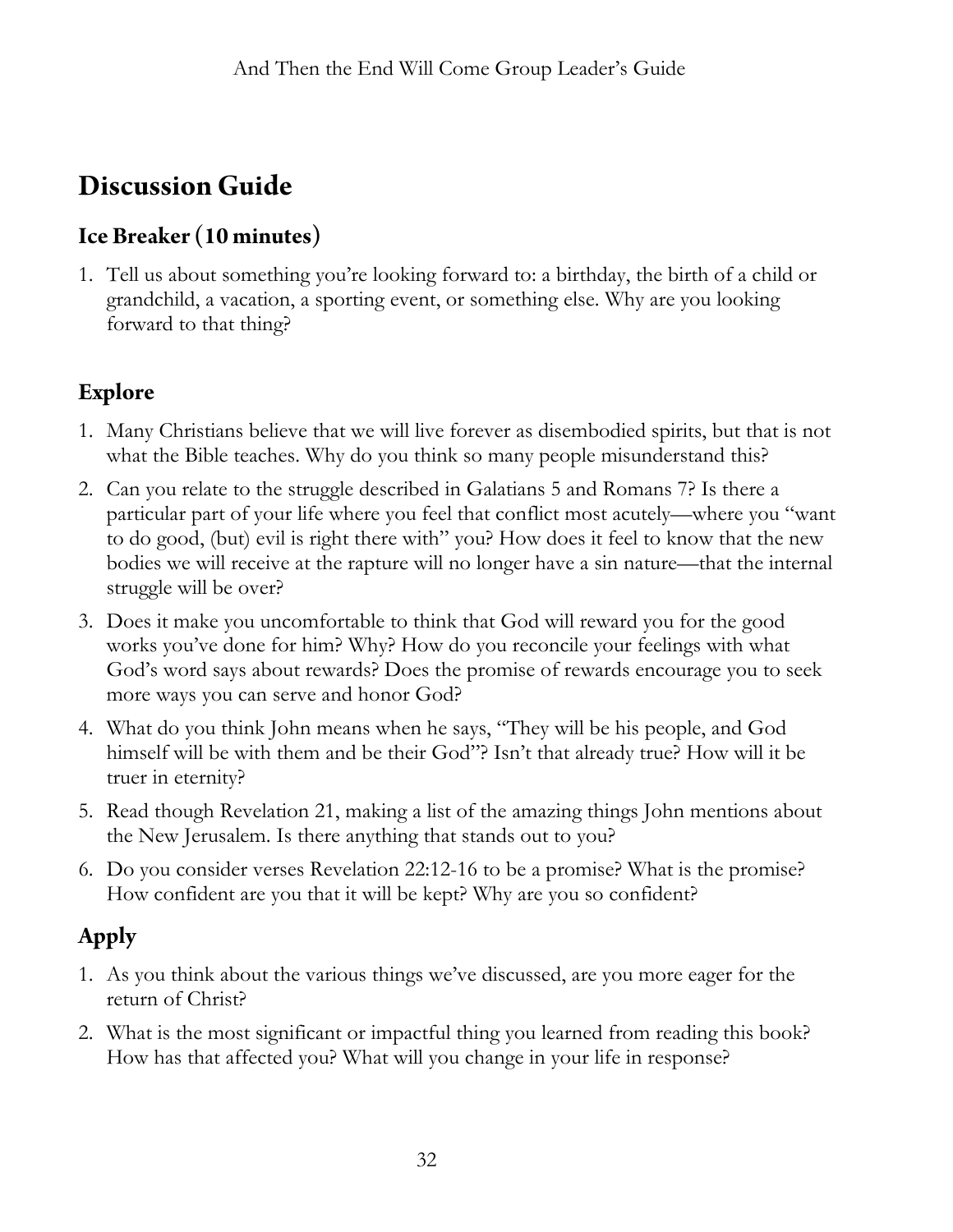## **Ice Breaker(10 minutes)**

1. Tell us about something you're looking forward to: a birthday, the birth of a child or grandchild, a vacation, a sporting event, or something else. Why are you looking forward to that thing?

## **Explore**

- 1. Many Christians believe that we will live forever as disembodied spirits, but that is not what the Bible teaches. Why do you think so many people misunderstand this?
- 2. Can you relate to the struggle described in Galatians 5 and Romans 7? Is there a particular part of your life where you feel that conflict most acutely—where you "want to do good, (but) evil is right there with" you? How does it feel to know that the new bodies we will receive at the rapture will no longer have a sin nature—that the internal struggle will be over?
- 3. Does it make you uncomfortable to think that God will reward you for the good works you've done for him? Why? How do you reconcile your feelings with what God's word says about rewards? Does the promise of rewards encourage you to seek more ways you can serve and honor God?
- 4. What do you think John means when he says, "They will be his people, and God himself will be with them and be their God"? Isn't that already true? How will it be truer in eternity?
- 5. Read though Revelation 21, making a list of the amazing things John mentions about the New Jerusalem. Is there anything that stands out to you?
- 6. Do you consider verses Revelation 22:12-16 to be a promise? What is the promise? How confident are you that it will be kept? Why are you so confident?

## **Apply**

- 1. As you think about the various things we've discussed, are you more eager for the return of Christ?
- 2. What is the most significant or impactful thing you learned from reading this book? How has that affected you? What will you change in your life in response?